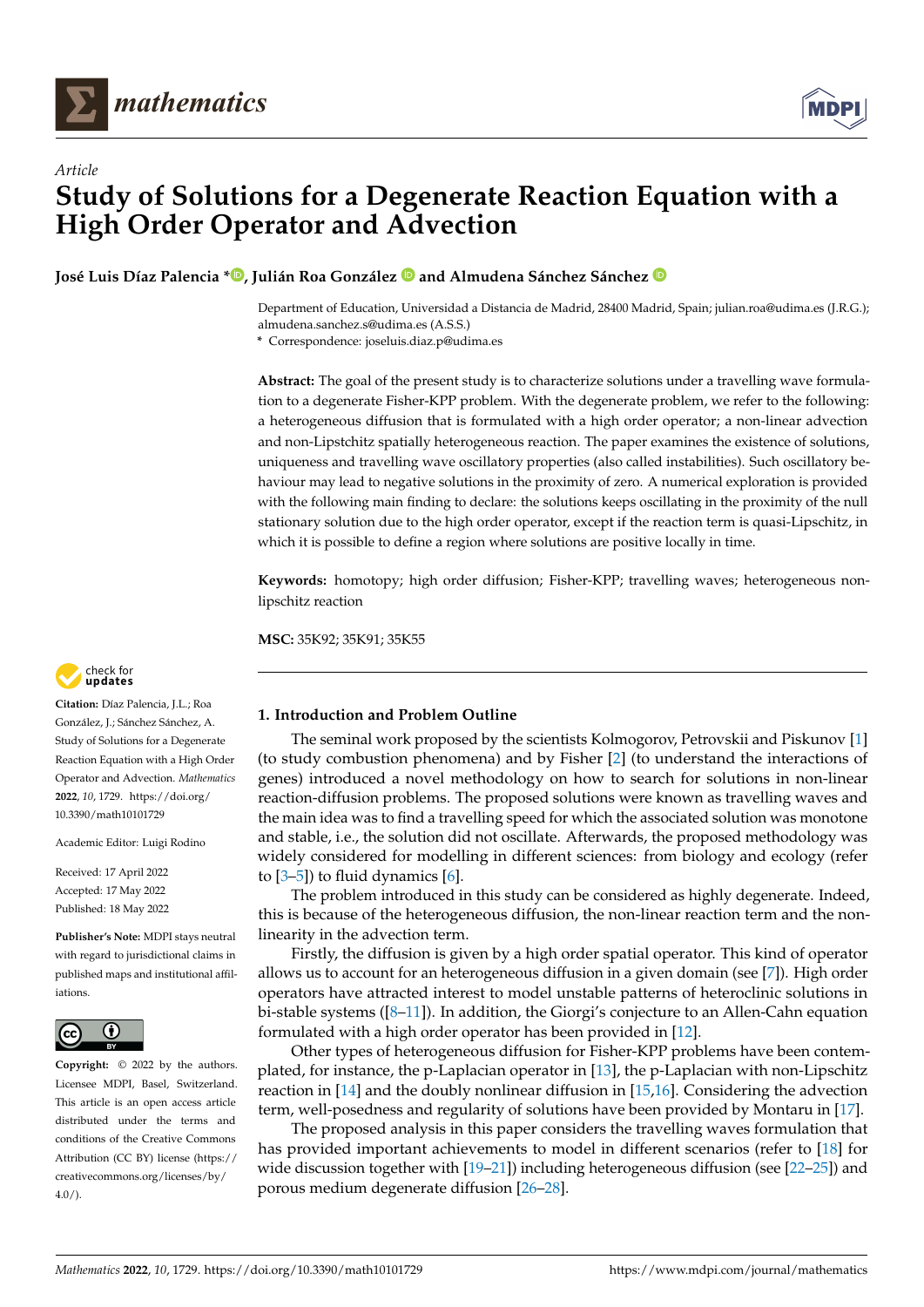



**José Luis Díaz Palencia [\\*](https://orcid.org/0000-0002-4677-0970) , Julián Roa González and Almudena Sánchez Sánchez**

Department of Education, Universidad a Distancia de Madrid, 28400 Madrid, Spain; julian.roa@udima.es (J.R.G.); almudena.sanchez.s@udima.es (A.S.S.)

**\*** Correspondence: joseluis.diaz.p@udima.es

**Abstract:** The goal of the present study is to characterize solutions under a travelling wave formulation to a degenerate Fisher-KPP problem. With the degenerate problem, we refer to the following: a heterogeneous diffusion that is formulated with a high order operator; a non-linear advection and non-Lipstchitz spatially heterogeneous reaction. The paper examines the existence of solutions, uniqueness and travelling wave oscillatory properties (also called instabilities). Such oscillatory behaviour may lead to negative solutions in the proximity of zero. A numerical exploration is provided with the following main finding to declare: the solutions keeps oscillating in the proximity of the null stationary solution due to the high order operator, except if the reaction term is quasi-Lipschitz, in which it is possible to define a region where solutions are positive locally in time.

**Keywords:** homotopy; high order diffusion; Fisher-KPP; travelling waves; heterogeneous nonlipschitz reaction

**MSC:** 35K92; 35K91; 35K55

# **1. Introduction and Problem Outline**

The seminal work proposed by the scientists Kolmogorov, Petrovskii and Piskunov [\[1\]](#page-16-0) (to study combustion phenomena) and by Fisher [\[2\]](#page-16-1) (to understand the interactions of genes) introduced a novel methodology on how to search for solutions in non-linear reaction-diffusion problems. The proposed solutions were known as travelling waves and the main idea was to find a travelling speed for which the associated solution was monotone and stable, i.e., the solution did not oscillate. Afterwards, the proposed methodology was widely considered for modelling in different sciences: from biology and ecology (refer to  $[3-5]$  $[3-5]$ ) to fluid dynamics  $[6]$ .

The problem introduced in this study can be considered as highly degenerate. Indeed, this is because of the heterogeneous diffusion, the non-linear reaction term and the nonlinearity in the advection term.

Firstly, the diffusion is given by a high order spatial operator. This kind of operator allows us to account for an heterogeneous diffusion in a given domain (see [\[7\]](#page-16-5)). High order operators have attracted interest to model unstable patterns of heteroclinic solutions in bi-stable systems ([\[8](#page-16-6)[–11\]](#page-16-7)). In addition, the Giorgi's conjecture to an Allen-Cahn equation formulated with a high order operator has been provided in [\[12\]](#page-16-8).

Other types of heterogeneous diffusion for Fisher-KPP problems have been contemplated, for instance, the p-Laplacian operator in [\[13\]](#page-16-9), the p-Laplacian with non-Lipschitz reaction in [\[14\]](#page-16-10) and the doubly nonlinear diffusion in [\[15](#page-16-11)[,16\]](#page-16-12). Considering the advection term, well-posedness and regularity of solutions have been provided by Montaru in [\[17\]](#page-16-13).

The proposed analysis in this paper considers the travelling waves formulation that has provided important achievements to model in different scenarios (refer to [\[18\]](#page-16-14) for wide discussion together with [\[19–](#page-16-15)[21\]](#page-16-16)) including heterogeneous diffusion (see [\[22–](#page-16-17)[25\]](#page-17-0)) and porous medium degenerate diffusion [\[26](#page-17-1)[–28\]](#page-17-2).



**Citation:** Díaz Palencia, J.L.; Roa González, J.; Sánchez Sánchez, A. Study of Solutions for a Degenerate Reaction Equation with a High Order Operator and Advection. *Mathematics* **2022**, *10*, 1729. [https://doi.org/](https://doi.org/10.3390/math10101729) [10.3390/math10101729](https://doi.org/10.3390/math10101729)

Academic Editor: Luigi Rodino

Received: 17 April 2022 Accepted: 17 May 2022 Published: 18 May 2022

**Publisher's Note:** MDPI stays neutral with regard to jurisdictional claims in published maps and institutional affiliations.



**Copyright:** © 2022 by the authors. Licensee MDPI, Basel, Switzerland. This article is an open access article distributed under the terms and conditions of the Creative Commons Attribution (CC BY) license [\(https://](https://creativecommons.org/licenses/by/4.0/) [creativecommons.org/licenses/by/](https://creativecommons.org/licenses/by/4.0/)  $4.0/$ ).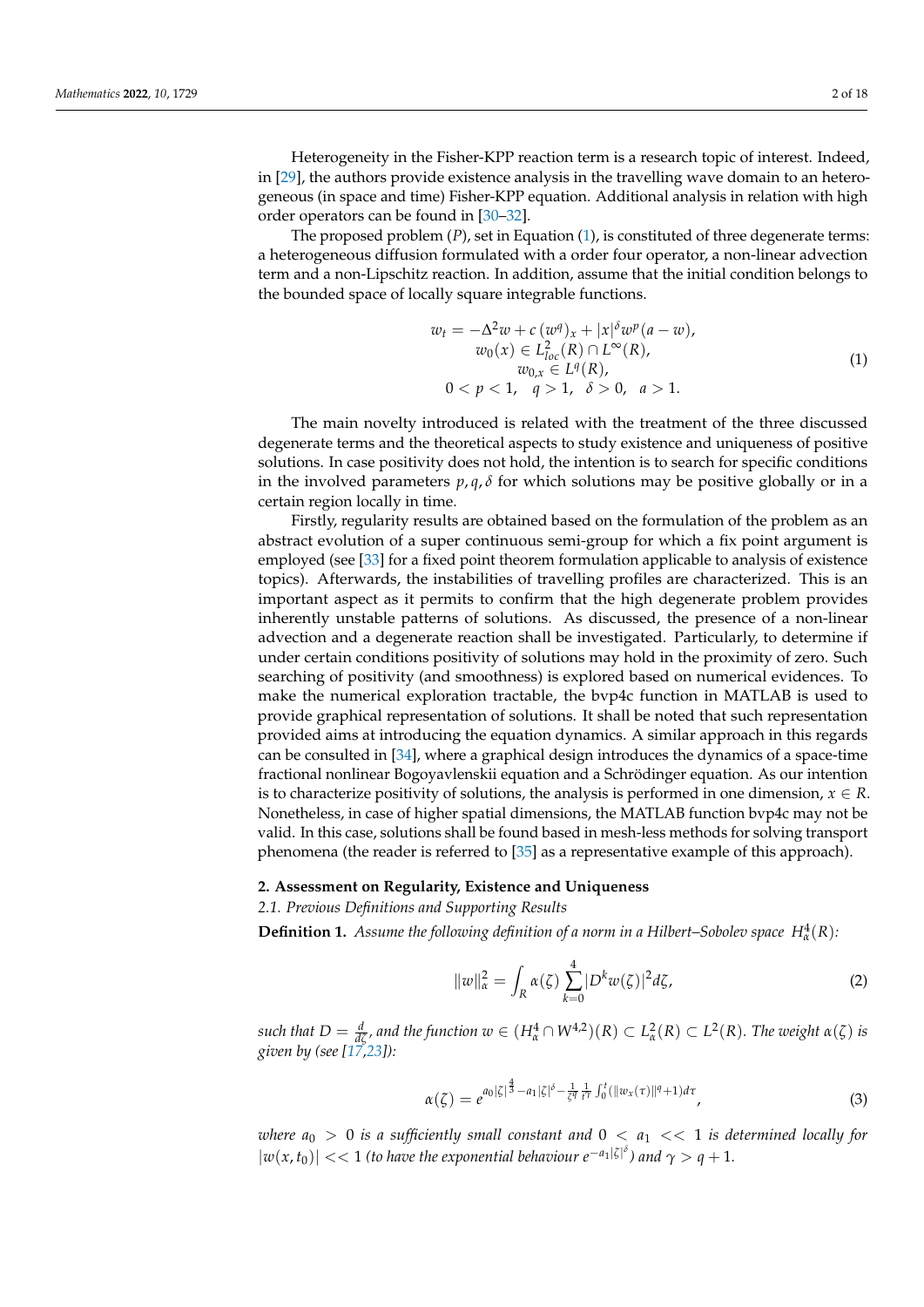Heterogeneity in the Fisher-KPP reaction term is a research topic of interest. Indeed, in [\[29\]](#page-17-3), the authors provide existence analysis in the travelling wave domain to an heterogeneous (in space and time) Fisher-KPP equation. Additional analysis in relation with high order operators can be found in [\[30](#page-17-4)[–32\]](#page-17-5).

The proposed problem (*P*), set in Equation [\(1\)](#page-1-0), is constituted of three degenerate terms: a heterogeneous diffusion formulated with a order four operator, a non-linear advection term and a non-Lipschitz reaction. In addition, assume that the initial condition belongs to the bounded space of locally square integrable functions.

<span id="page-1-0"></span>
$$
w_t = -\Delta^2 w + c (w^q)_x + |x|^{\delta} w^p (a - w),
$$
  
\n
$$
w_0(x) \in L^2_{loc}(R) \cap L^{\infty}(R),
$$
  
\n
$$
w_{0,x} \in L^q(R),
$$
  
\n
$$
0 < p < 1, \quad q > 1, \quad \delta > 0, \quad a > 1.
$$
\n(1)

The main novelty introduced is related with the treatment of the three discussed degenerate terms and the theoretical aspects to study existence and uniqueness of positive solutions. In case positivity does not hold, the intention is to search for specific conditions in the involved parameters  $p, q, \delta$  for which solutions may be positive globally or in a certain region locally in time.

Firstly, regularity results are obtained based on the formulation of the problem as an abstract evolution of a super continuous semi-group for which a fix point argument is employed (see [\[33\]](#page-17-6) for a fixed point theorem formulation applicable to analysis of existence topics). Afterwards, the instabilities of travelling profiles are characterized. This is an important aspect as it permits to confirm that the high degenerate problem provides inherently unstable patterns of solutions. As discussed, the presence of a non-linear advection and a degenerate reaction shall be investigated. Particularly, to determine if under certain conditions positivity of solutions may hold in the proximity of zero. Such searching of positivity (and smoothness) is explored based on numerical evidences. To make the numerical exploration tractable, the bvp4c function in MATLAB is used to provide graphical representation of solutions. It shall be noted that such representation provided aims at introducing the equation dynamics. A similar approach in this regards can be consulted in [\[34\]](#page-17-7), where a graphical design introduces the dynamics of a space-time fractional nonlinear Bogoyavlenskii equation and a Schrödinger equation. As our intention is to characterize positivity of solutions, the analysis is performed in one dimension,  $x \in R$ . Nonetheless, in case of higher spatial dimensions, the MATLAB function bvp4c may not be valid. In this case, solutions shall be found based in mesh-less methods for solving transport phenomena (the reader is referred to [\[35\]](#page-17-8) as a representative example of this approach).

### **2. Assessment on Regularity, Existence and Uniqueness**

*2.1. Previous Definitions and Supporting Results*

**Definition 1.** Assume the following definition of a norm in a Hilbert–Sobolev space  $H^4_\alpha(R)$ :

<span id="page-1-1"></span>
$$
||w||_{\alpha}^{2} = \int_{R} \alpha(\zeta) \sum_{k=0}^{4} |D^{k}w(\zeta)|^{2} d\zeta,
$$
\n<sup>(2)</sup>

such that  $D=\frac{d}{d\zeta}$ , and the function  $w\in (H^{4}_{\alpha}\cap W^{4,2})(R)\subset L^{2}_{\alpha}(R)\subset L^{2}(R)$ . The weight  $\alpha(\zeta)$  is *given by (see [\[17](#page-16-13)[,23\]](#page-16-18)):*

$$
\alpha(\zeta) = e^{a_0|\zeta|^{\frac{4}{3}} - a_1|\zeta|^{\delta} - \frac{1}{\zeta^q} \frac{1}{t^{\gamma}} \int_0^t (\|w_x(\tau)\|^q + 1) d\tau}, \qquad (3)
$$

*where*  $a_0 > 0$  *is a sufficiently small constant and*  $0 < a_1 < 1$  *is determined locally for*  $|w(x, t_0)| \ll 1$  (to have the exponential behaviour  $e^{-a_1|\zeta|^{\delta}}$ ) and  $\gamma > q + 1$ .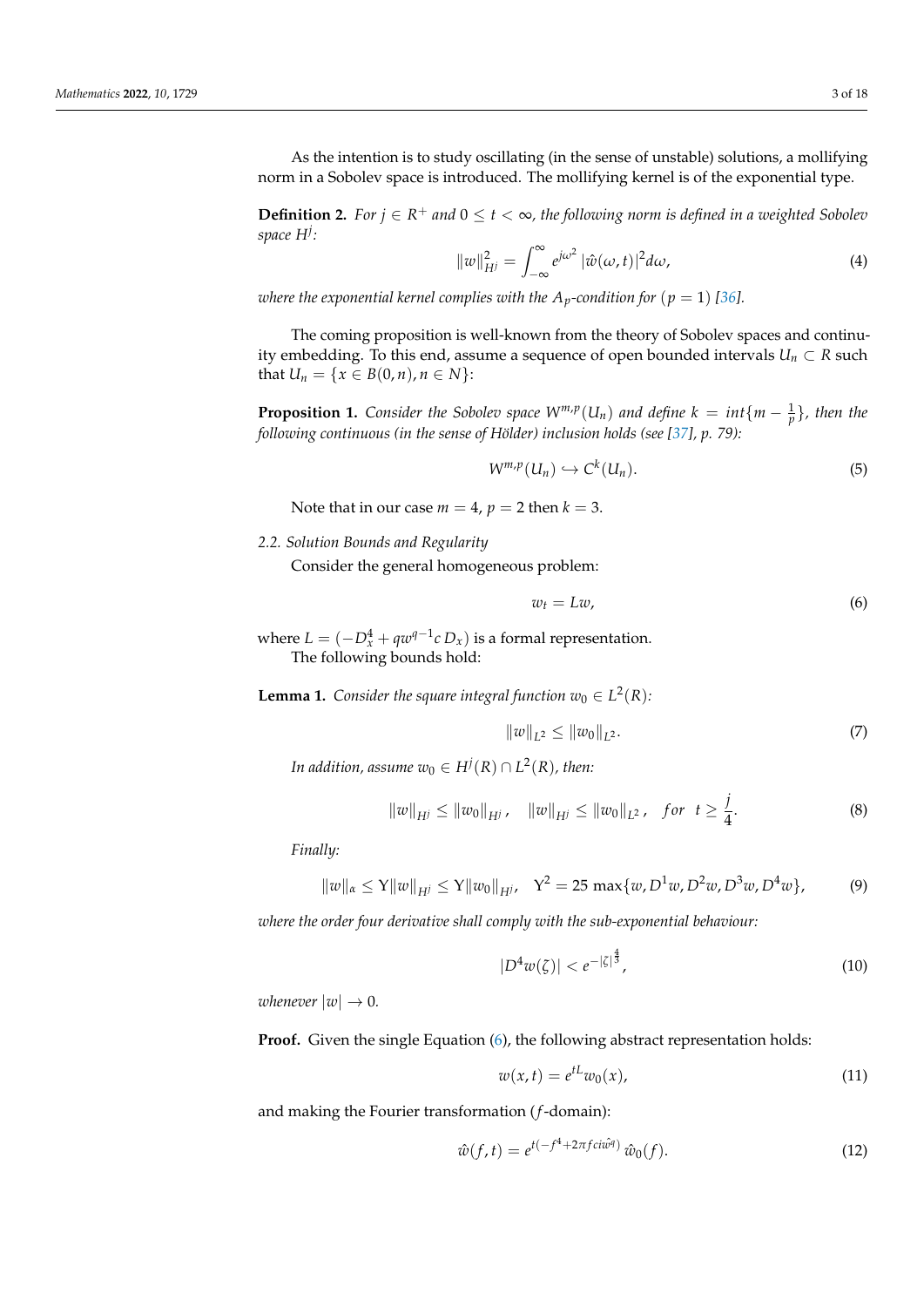As the intention is to study oscillating (in the sense of unstable) solutions, a mollifying norm in a Sobolev space is introduced. The mollifying kernel is of the exponential type.

**Definition 2.** *For*  $j \in R$ <sup>+</sup> *and* 0 ≤  $t < ∞$ , *the following norm is defined in a weighted Sobolev space H<sup>j</sup> :*

<span id="page-2-1"></span>
$$
||w||_{H^{j}}^{2} = \int_{-\infty}^{\infty} e^{j\omega^{2}} |\hat{w}(\omega, t)|^{2} d\omega,
$$
\n(4)

*where the exponential kernel complies with the*  $A_p$ *-condition for*  $(p = 1)$  [\[36\]](#page-17-9)*.* 

The coming proposition is well-known from the theory of Sobolev spaces and continuity embedding. To this end, assume a sequence of open bounded intervals  $U_n \subset R$  such *that*  $U_n = \{x \in B(0, n), n \in N\}$ :

<span id="page-2-2"></span>**Proposition 1.** *Consider the Sobolev space*  $W^{m,p}(U_n)$  *and define*  $k = int\{m - \frac{1}{p}\}$ *, then the following continuous (in the sense of Hölder) inclusion holds (see [\[37\]](#page-17-10), p. 79):*

$$
W^{m,p}(U_n) \hookrightarrow C^k(U_n). \tag{5}
$$

Note that in our case  $m = 4$ ,  $p = 2$  then  $k = 3$ .

*2.2. Solution Bounds and Regularity*

Consider the general homogeneous problem:

<span id="page-2-0"></span>
$$
w_t = Lw,\t\t(6)
$$

where  $L = (-D_x^4 + qw^{q-1}c D_x)$  is a formal representation. The following bounds hold:

**Lemma 1.** Consider the square integral function  $w_0 \in L^2(R)$ :

$$
||w||_{L^2} \le ||w_0||_{L^2}.
$$
\n(7)

*j*

*In addition, assume*  $w_0 \in H^j(R) \cap L^2(R)$ , then:

$$
||w||_{H^{j}} \leq ||w_{0}||_{H^{j}}, \quad ||w||_{H^{j}} \leq ||w_{0}||_{L^{2}}, \quad \text{for} \ \ t \geq \frac{1}{4}.
$$

*Finally:*

$$
||w||_{\alpha} \le Y||w||_{H^{j}} \le Y||w_{0}||_{H^{j}}, \quad Y^{2} = 25 \max\{w, D^{1}w, D^{2}w, D^{3}w, D^{4}w\},
$$
 (9)

*where the order four derivative shall comply with the sub-exponential behaviour:*

$$
|D^4 w(\zeta)| < e^{-|\zeta|^{\frac{4}{3}}},\tag{10}
$$

*whenever*  $|w| \to 0$ .

**Proof.** Given the single Equation [\(6\)](#page-2-0), the following abstract representation holds:

$$
w(x,t) = e^{tL}w_0(x),\tag{11}
$$

and making the Fourier transformation (*f*-domain):

$$
\hat{w}(f,t) = e^{t(-f^4 + 2\pi f c i \hat{w}^q)} \hat{w}_0(f). \tag{12}
$$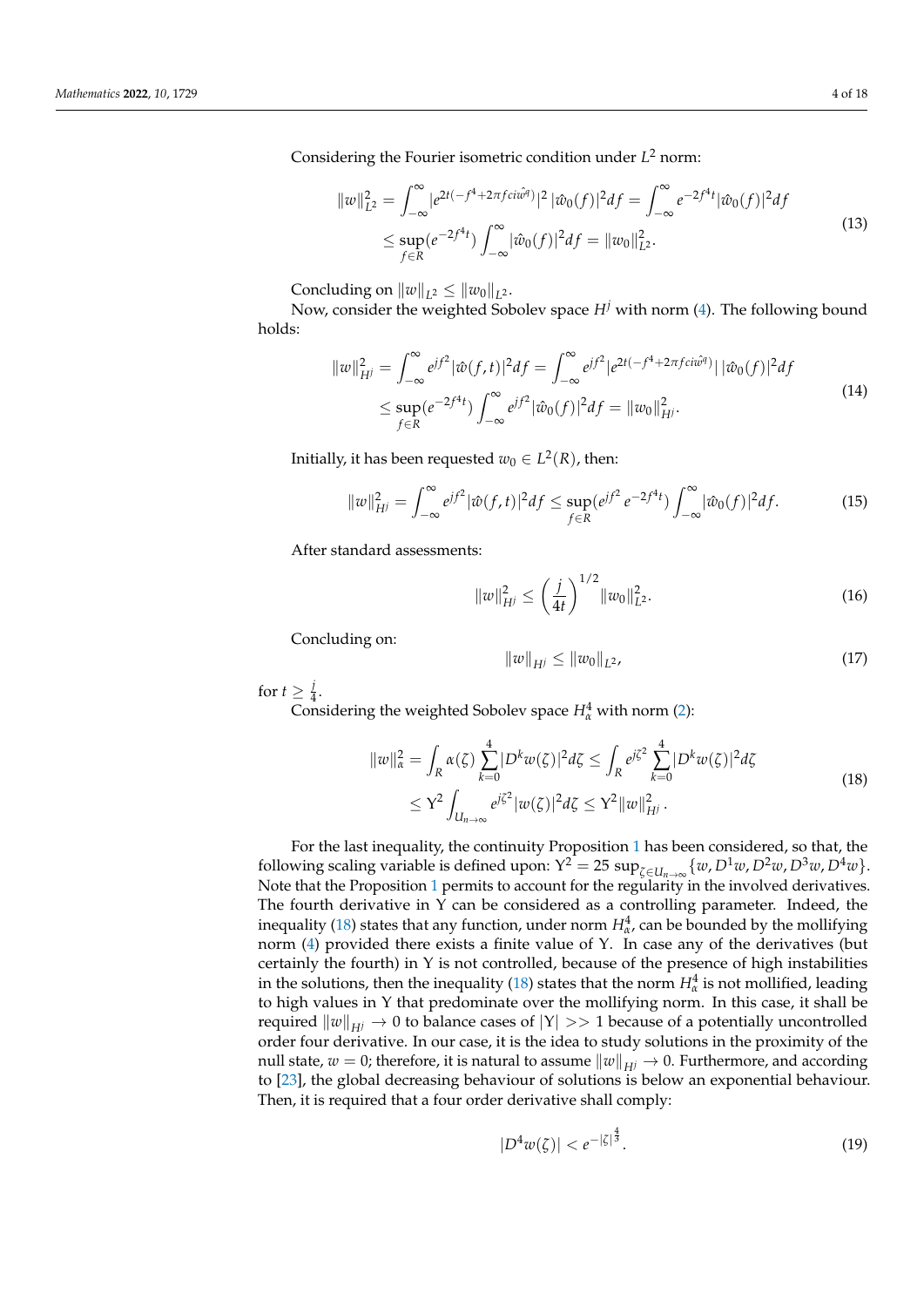Considering the Fourier isometric condition under *L* <sup>2</sup> norm:

$$
||w||_{L^{2}}^{2} = \int_{-\infty}^{\infty} |e^{2t(-f^{4} + 2\pi f c i\hat{w}^{q})}|^{2} |\hat{w}_{0}(f)|^{2} df = \int_{-\infty}^{\infty} e^{-2f^{4}t} |\hat{w}_{0}(f)|^{2} df
$$
  
\n
$$
\leq \sup_{f \in R} (e^{-2f^{4}t}) \int_{-\infty}^{\infty} |\hat{w}_{0}(f)|^{2} df = ||w_{0}||_{L^{2}}^{2}.
$$
\n(13)

Concluding on  $||w||_{L^2} \le ||w_0||_{L^2}$ .

<span id="page-3-1"></span>Now, consider the weighted Sobolev space  $H^j$  with norm [\(4\)](#page-2-1). The following bound holds:

$$
||w||_{H^{j}}^{2} = \int_{-\infty}^{\infty} e^{jf^{2}} |\hat{w}(f,t)|^{2} df = \int_{-\infty}^{\infty} e^{jf^{2}} |e^{2t(-f^{4}+2\pi f c i\hat{w}^{q})}| |\hat{w}_{0}(f)|^{2} df
$$
  
\n
$$
\leq \sup_{f \in R} (e^{-2f^{4}t}) \int_{-\infty}^{\infty} e^{jf^{2}} |\hat{w}_{0}(f)|^{2} df = ||w_{0}||_{H^{j}}^{2}.
$$
\n(14)

Initially, it has been requested  $w_0 \in L^2(R)$ , then:

$$
||w||_{H^{j}}^{2} = \int_{-\infty}^{\infty} e^{jf^{2}} |\hat{w}(f,t)|^{2} df \le \sup_{f \in R} (e^{jf^{2}} e^{-2f^{4}t}) \int_{-\infty}^{\infty} |\hat{w}_{0}(f)|^{2} df.
$$
 (15)

After standard assessments:

$$
||w||_{H^{j}}^{2} \le \left(\frac{j}{4t}\right)^{1/2} ||w_{0}||_{L^{2}}^{2}.
$$
\n(16)

Concluding on:

$$
||w||_{H^j} \le ||w_0||_{L^2}, \tag{17}
$$

for  $t \geq \frac{j}{4}$  $rac{1}{4}$ .

<span id="page-3-0"></span>Considering the weighted Sobolev space  $H^4_\alpha$  with norm [\(2\)](#page-1-1):

$$
||w||_{\alpha}^{2} = \int_{R} \alpha(\zeta) \sum_{k=0}^{4} |D^{k}w(\zeta)|^{2} d\zeta \le \int_{R} e^{j\zeta^{2}} \sum_{k=0}^{4} |D^{k}w(\zeta)|^{2} d\zeta
$$
  
 
$$
\le Y^{2} \int_{U_{n\to\infty}} e^{j\zeta^{2}} |w(\zeta)|^{2} d\zeta \le Y^{2} ||w||_{H^{j}}^{2}.
$$
 (18)

For the last inequality, the continuity Proposition [1](#page-2-2) has been considered, so that, the following scaling variable is defined upon:  $Y^2 = 25 \sup_{\zeta \in U_n \to \infty} \{w, D^1w, D^2w, D^3w, D^4w\}.$ Note that the Proposition [1](#page-2-2) permits to account for the regularity in the involved derivatives. The fourth derivative in Υ can be considered as a controlling parameter. Indeed, the inequality [\(18\)](#page-3-0) states that any function, under norm  $H^4_{\alpha}$ , can be bounded by the mollifying norm [\(4\)](#page-2-1) provided there exists a finite value of Υ. In case any of the derivatives (but certainly the fourth) in Υ is not controlled, because of the presence of high instabilities in the solutions, then the inequality [\(18\)](#page-3-0) states that the norm  $H^4_\alpha$  is not mollified, leading to high values in Υ that predominate over the mollifying norm. In this case, it shall be required  $\|w\|_{H^j} \to 0$  to balance cases of  $|Y| >> 1$  because of a potentially uncontrolled order four derivative. In our case, it is the idea to study solutions in the proximity of the null state,  $w = 0$ ; therefore, it is natural to assume  $||w||_{H} \rightarrow 0$ . Furthermore, and according to [\[23\]](#page-16-18), the global decreasing behaviour of solutions is below an exponential behaviour. Then, it is required that a four order derivative shall comply:

$$
|D^4 w(\zeta)| < e^{-|\zeta|^{\frac{4}{3}}}. \tag{19}
$$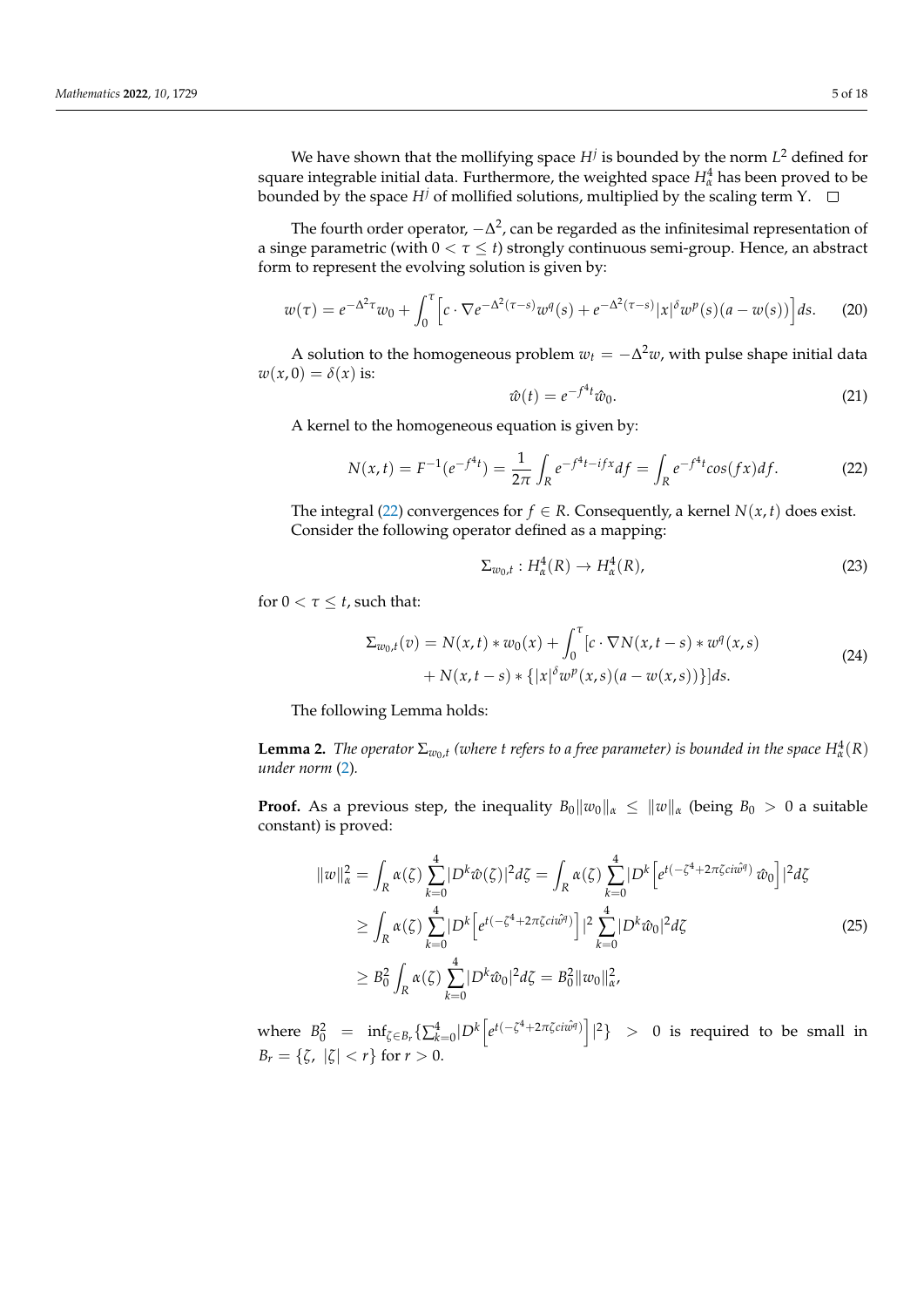We have shown that the mollifying space *H<sup>j</sup>* is bounded by the norm *L* <sup>2</sup> defined for square integrable initial data. Furthermore, the weighted space  $H^4_\alpha$  has been proved to be bounded by the space  $H^j$  of mollified solutions, multiplied by the scaling term Y.  $\Box$ 

The fourth order operator,  $-\Delta^2$ , can be regarded as the infinitesimal representation of a singe parametric (with 0 < *τ* ≤ *t*) strongly continuous semi-group. Hence, an abstract form to represent the evolving solution is given by:

$$
w(\tau) = e^{-\Delta^2 \tau} w_0 + \int_0^{\tau} \left[ c \cdot \nabla e^{-\Delta^2 (\tau - s)} w^q(s) + e^{-\Delta^2 (\tau - s)} |x|^\delta w^p(s) (a - w(s)) \right] ds. \tag{20}
$$

A solution to the homogeneous problem  $w_t = -\Delta^2 w$ , with pulse shape initial data  $w(x, 0) = \delta(x)$  is:  $\overline{4}$ 

$$
\hat{w}(t) = e^{-f^4t}\hat{w}_0.
$$
\n(21)

A kernel to the homogeneous equation is given by:

<span id="page-4-0"></span>
$$
N(x,t) = F^{-1}(e^{-f^{4}t}) = \frac{1}{2\pi} \int_{R} e^{-f^{4}t - ifx} df = \int_{R} e^{-f^{4}t} \cos(fx) df.
$$
 (22)

The integral [\(22\)](#page-4-0) convergences for  $f \in R$ . Consequently, a kernel  $N(x, t)$  does exist. Consider the following operator defined as a mapping:

<span id="page-4-1"></span>
$$
\Sigma_{w_0,t}: H^4_\alpha(R) \to H^4_\alpha(R), \tag{23}
$$

for  $0 < \tau \leq t$ , such that:

$$
\Sigma_{w_0,t}(v) = N(x,t) * w_0(x) + \int_0^{\tau} [c \cdot \nabla N(x,t-s) * w^q(x,s) + N(x,t-s) * \{|x|^{\delta} w^p(x,s)(a - w(x,s))\}] ds.
$$
\n(24)

The following Lemma holds:

<span id="page-4-2"></span>**Lemma 2.** *The operator*  $\Sigma_{w_0,t}$  (where *t* refers to a free parameter) is bounded in the space  $H^4_\alpha(R)$ *under norm* [\(2\)](#page-1-1)*.*

**Proof.** As a previous step, the inequality  $B_0||w_0||_{\alpha} \leq ||w||_{\alpha}$  (being  $B_0 > 0$  a suitable constant) is proved:

$$
||w||_{\alpha}^{2} = \int_{R} \alpha(\zeta) \sum_{k=0}^{4} |D^{k}\hat{w}(\zeta)|^{2} d\zeta = \int_{R} \alpha(\zeta) \sum_{k=0}^{4} |D^{k} [e^{t(-\zeta^{4} + 2\pi\zeta c i\hat{w}^{q})} \hat{w}_{0}]|^{2} d\zeta
$$
  
\n
$$
\geq \int_{R} \alpha(\zeta) \sum_{k=0}^{4} |D^{k} [e^{t(-\zeta^{4} + 2\pi\zeta c i\hat{w}^{q})}]|^{2} \sum_{k=0}^{4} |D^{k}\hat{w}_{0}|^{2} d\zeta
$$
  
\n
$$
\geq B_{0}^{2} \int_{R} \alpha(\zeta) \sum_{k=0}^{4} |D^{k}\hat{w}_{0}|^{2} d\zeta = B_{0}^{2} ||w_{0}||_{\alpha}^{2},
$$
\n(25)

where  $B_0^2$  =  $\inf_{\zeta \in B_r} \{ \sum_{k=0}^4 |D^k \left[ e^{t(-\zeta^4 + 2\pi \zeta c i \hat{w}^q)} \right] |^2 \}$  > 0 is required to be small in *B*<sub>*r*</sub> = { $\zeta$ ,  $|\zeta| < r$ } for *r* > 0.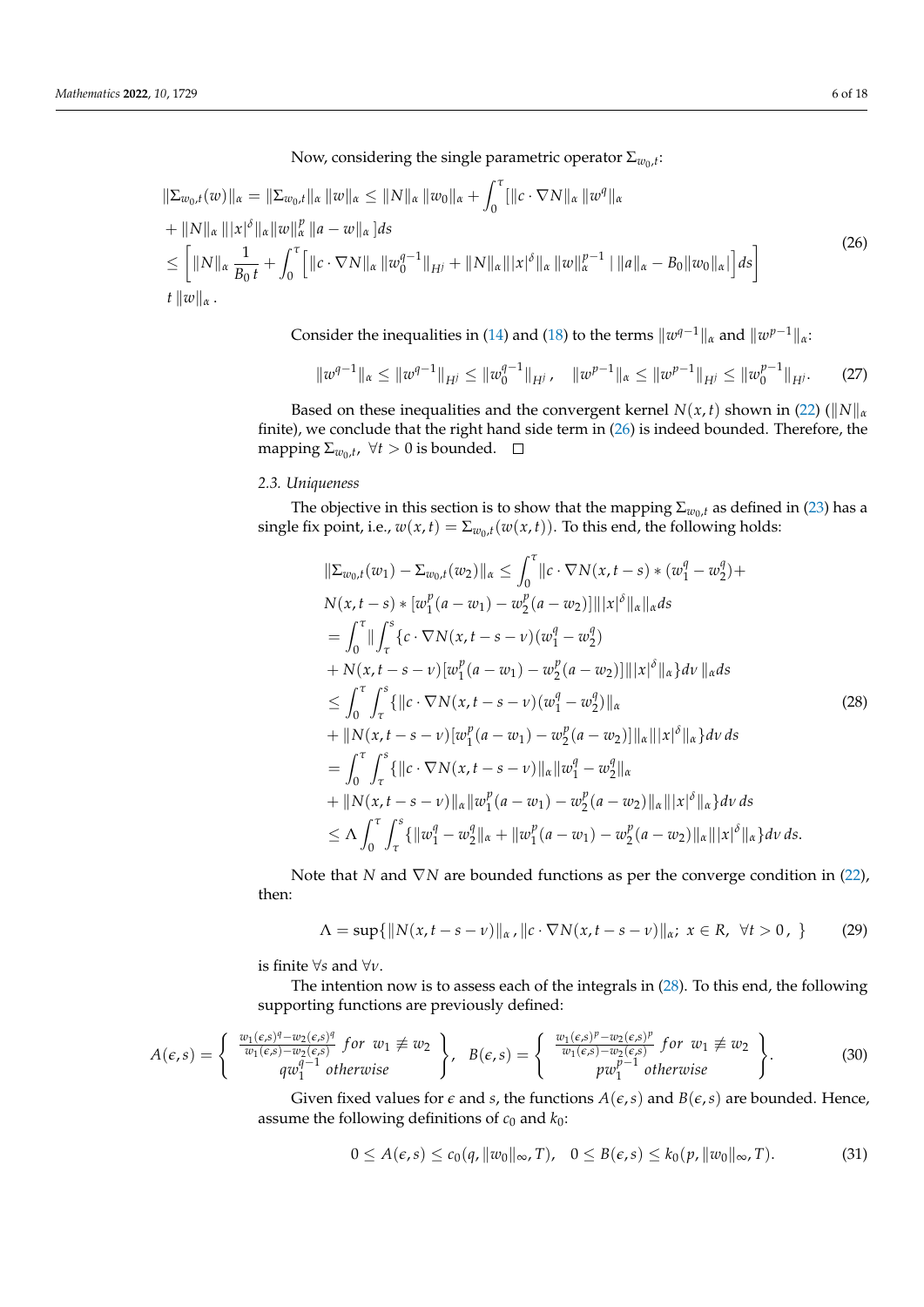Now, considering the single parametric operator  $\Sigma_{w_0,t}$ :

<span id="page-5-0"></span>
$$
\|\Sigma_{w_0,t}(w)\|_{\alpha} = \|\Sigma_{w_0,t}\|_{\alpha} \|w\|_{\alpha} \le \|N\|_{\alpha} \|w_0\|_{\alpha} + \int_0^{\tau} [\|c \cdot \nabla N\|_{\alpha} \|w^q\|_{\alpha} \n+ \|N\|_{\alpha} \| |x|^{\delta} \|_{\alpha} \|w\|_{\alpha}^p \|a - w\|_{\alpha} ]ds \n\le \left[ \|N\|_{\alpha} \frac{1}{B_0 t} + \int_0^{\tau} [\|c \cdot \nabla N\|_{\alpha} \|w_0^{q-1}\|_{H^j} + \|N\|_{\alpha} \| |x|^{\delta} \|_{\alpha} \|w\|_{\alpha}^{p-1} | \|a\|_{\alpha} - B_0 \|w_0\|_{\alpha} | \right] ds \n t \|w\|_{\alpha} .
$$
\n(26)

Consider the inequalities in [\(14\)](#page-3-1) and [\(18\)](#page-3-0) to the terms  $\|w^{q-1}\|_{\alpha}$  and  $\|w^{p-1}\|_{\alpha}$ :

$$
\|w^{q-1}\|_{\alpha} \le \|w^{q-1}\|_{H^j} \le \|w_0^{q-1}\|_{H^j}, \quad \|w^{p-1}\|_{\alpha} \le \|w^{p-1}\|_{H^j} \le \|w_0^{p-1}\|_{H^j}.
$$
 (27)

Based on these inequalities and the convergent kernel *N*(*x*, *t*) shown in [\(22\)](#page-4-0) ( $||N||_{\alpha}$ finite), we conclude that the right hand side term in  $(26)$  is indeed bounded. Therefore, the mapping  $\Sigma_{w_0,t}$ ,  $\forall t > 0$  is bounded.

### *2.3. Uniqueness*

The objective in this section is to show that the mapping  $\Sigma_{w_0,t}$  as defined in [\(23\)](#page-4-1) has a single fix point, i.e.,  $w(x, t) = \sum_{w_0, t} (w(x, t))$ . To this end, the following holds:

<span id="page-5-1"></span>
$$
\|\Sigma_{w_{0},t}(w_{1}) - \Sigma_{w_{0},t}(w_{2})\|_{\alpha} \leq \int_{0}^{\tau} \|c \cdot \nabla N(x,t-s) * (w_{1}^{q} - w_{2}^{q}) + N(x,t-s) * [w_{1}^{p}(a-w_{1}) - w_{2}^{p}(a-w_{2})] \| |x|^{\delta} \|_{\alpha} \|_{\alpha} ds
$$
  
\n
$$
= \int_{0}^{\tau} \|\int_{\tau}^{s} \{c \cdot \nabla N(x,t-s-v)(w_{1}^{q} - w_{2}^{q}) + N(x,t-s-v)[w_{1}^{p}(a-w_{1}) - w_{2}^{p}(a-w_{2})] \| |x|^{\delta} \|_{\alpha} \} dv \|_{\alpha} ds
$$
  
\n
$$
\leq \int_{0}^{\tau} \int_{\tau}^{s} \{ \|c \cdot \nabla N(x,t-s-v)(w_{1}^{q} - w_{2}^{q}) \|_{\alpha} \| |x|^{\delta} \|_{\alpha} \} dv ds
$$
  
\n
$$
+ \| N(x,t-s-v)[w_{1}^{p}(a-w_{1}) - w_{2}^{p}(a-w_{2})] \|_{\alpha} \| |x|^{\delta} \|_{\alpha} \} dv ds
$$
  
\n
$$
= \int_{0}^{\tau} \int_{\tau}^{s} \{ \|c \cdot \nabla N(x,t-s-v) \|_{\alpha} \| w_{1}^{q} - w_{2}^{q} \|_{\alpha} |_{\alpha} \} dv ds
$$
  
\n
$$
+ \| N(x,t-s-v) \|_{\alpha} \| w_{1}^{p}(a-w_{1}) - w_{2}^{p}(a-w_{2}) \|_{\alpha} \| |x|^{\delta} \|_{\alpha} \} dv ds
$$
  
\n
$$
\leq \Lambda \int_{0}^{\tau} \int_{\tau}^{s} \{ \| w_{1}^{q} - w_{2}^{q} \|_{\alpha} + \| w_{1}^{p}(a-w_{1}) - w_{2}^{p}(a-w_{2}) \|_{\alpha} \| |x|^{\delta} \|_{\alpha} \} dv ds.
$$

Note that *N* and  $∇$ *N* are bounded functions as per the converge condition in [\(22\)](#page-4-0), then:

$$
\Lambda = \sup\{\|N(x, t - s - \nu)\|_{\alpha}, \|c \cdot \nabla N(x, t - s - \nu)\|_{\alpha}; \ x \in R, \ \forall t > 0, \ \}
$$
 (29)

is finite ∀*s* and ∀*ν*.

The intention now is to assess each of the integrals in [\(28\)](#page-5-1). To this end, the following supporting functions are previously defined:

$$
A(\epsilon,s) = \begin{cases} \frac{w_1(\epsilon,s)^q - w_2(\epsilon,s)^q}{w_1(\epsilon,s) - w_2(\epsilon,s)} & \text{for } w_1 \not\equiv w_2 \\ q w_1^{q-1} & \text{otherwise} \end{cases}, \quad B(\epsilon,s) = \begin{cases} \frac{w_1(\epsilon,s)^p - w_2(\epsilon,s)^p}{w_1(\epsilon,s) - w_2(\epsilon,s)} & \text{for } w_1 \not\equiv w_2 \\ w_1^{p-1} & \text{otherwise} \end{cases}.
$$
 (30)

Given fixed values for  $\epsilon$  and  $s$ , the functions  $A(\epsilon, s)$  and  $B(\epsilon, s)$  are bounded. Hence, assume the following definitions of  $c_0$  and  $k_0$ :

$$
0 \leq A(\epsilon, s) \leq c_0(q, \|w_0\|_{\infty}, T), \quad 0 \leq B(\epsilon, s) \leq k_0(p, \|w_0\|_{\infty}, T). \tag{31}
$$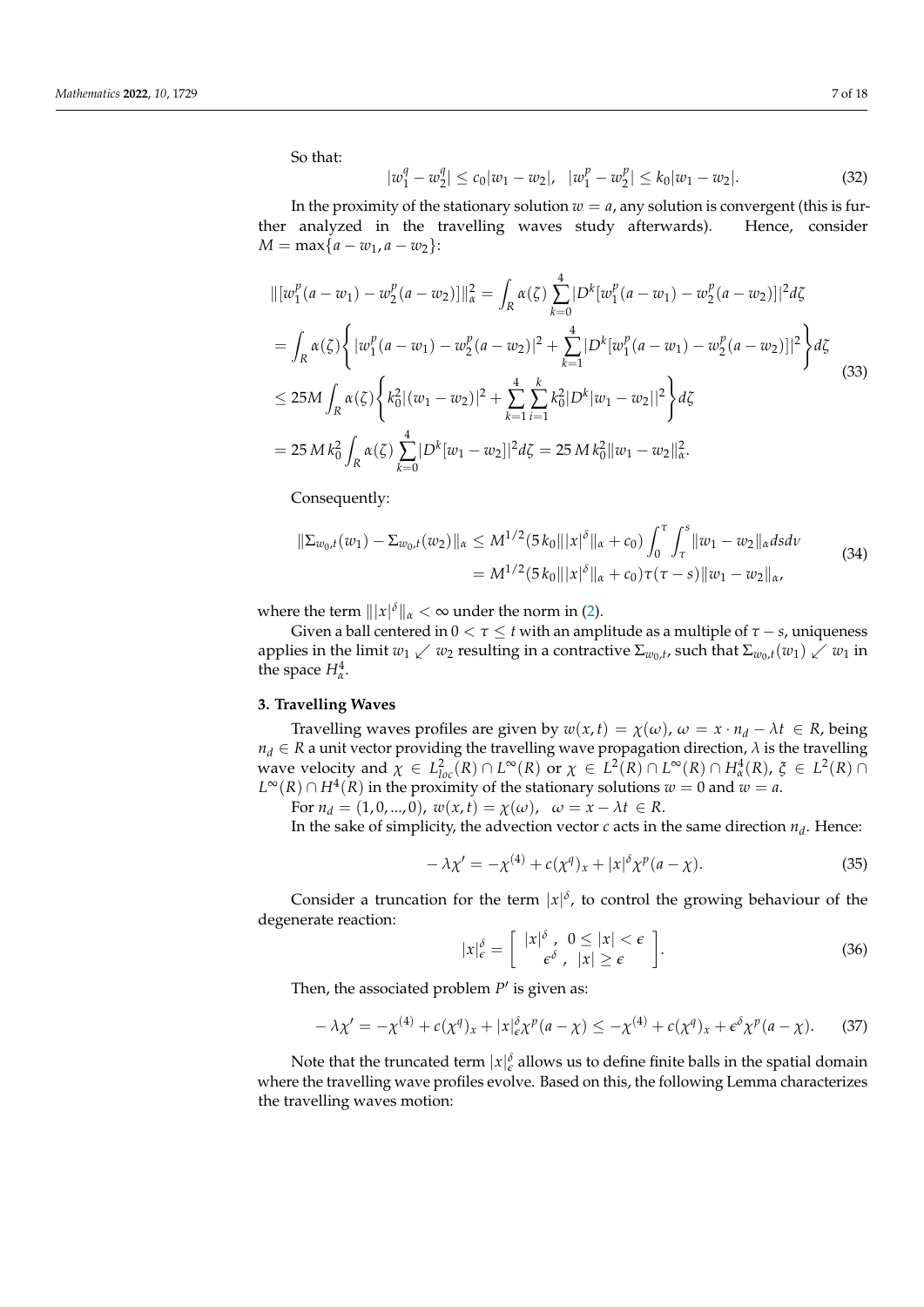So that:

$$
|w_1^q - w_2^q| \le c_0 |w_1 - w_2|, \quad |w_1^p - w_2^p| \le k_0 |w_1 - w_2|.
$$
\n
$$
(32)
$$

In the proximity of the stationary solution  $w = a$ , any solution is convergent (this is further analyzed in the travelling waves study afterwards). Hence, consider *M* = max $\{a - w_1, a - w_2\}$ :

$$
\| [w_1^p(a - w_1) - w_2^p(a - w_2)] \|_{\alpha}^2 = \int_R \alpha(\zeta) \sum_{k=0}^4 |D^k[w_1^p(a - w_1) - w_2^p(a - w_2)]|^2 d\zeta
$$
  
\n
$$
= \int_R \alpha(\zeta) \left\{ |w_1^p(a - w_1) - w_2^p(a - w_2)|^2 + \sum_{k=1}^4 |D^k[w_1^p(a - w_1) - w_2^p(a - w_2)]|^2 \right\} d\zeta
$$
  
\n
$$
\leq 25M \int_R \alpha(\zeta) \left\{ k_0^2 |(w_1 - w_2)|^2 + \sum_{k=1}^4 \sum_{i=1}^k k_0^2 |D^k[w_1 - w_2]|^2 \right\} d\zeta
$$
  
\n
$$
= 25M k_0^2 \int_R \alpha(\zeta) \sum_{k=0}^4 |D^k[w_1 - w_2]|^2 d\zeta = 25M k_0^2 ||w_1 - w_2||_{\alpha}^2.
$$
 (33)

Consequently:

$$
\|\Sigma_{w_0,t}(w_1) - \Sigma_{w_0,t}(w_2)\|_{\alpha} \le M^{1/2} (5 k_0 \| |x|^{\delta} \|_{\alpha} + c_0) \int_0^{\tau} \int_{\tau}^s \|w_1 - w_2\|_{\alpha} ds dv
$$
  
=  $M^{1/2} (5 k_0 \| |x|^{\delta} \|_{\alpha} + c_0) \tau(\tau - s) \|w_1 - w_2\|_{\alpha},$  (34)

where the term  $\| |x|^\delta \|_{\alpha} < \infty$  under the norm in [\(2\)](#page-1-1).

Given a ball centered in  $0 < \tau \leq t$  with an amplitude as a multiple of  $\tau - s$ , uniqueness applies in the limit  $w_1 \swarrow w_2$  resulting in a contractive  $\Sigma_{w_0,t}$ , such that  $\Sigma_{w_0,t}(w_1) \swarrow w_1$  in the space  $H^4_\alpha$ .

# **3. Travelling Waves**

Travelling waves profiles are given by  $w(x, t) = \chi(\omega)$ ,  $\omega = x \cdot n_d - \lambda t \in R$ , being  $n_d \in R$  a unit vector providing the travelling wave propagation direction,  $\lambda$  is the travelling wave velocity and  $\chi \in L^2_{loc}(R) \cap L^{\infty}(R)$  or  $\chi \in L^2(R) \cap L^{\infty}(R) \cap H^4_{\alpha}(R)$ ,  $\xi \in L^2(R) \cap$ *L*<sup>∞</sup>(*R*) ∩ *H*<sup>4</sup>(*R*) in the proximity of the stationary solutions *w* = 0 and *w* = *a*.

For  $n_d = (1, 0, ..., 0)$ ,  $w(x, t) = \chi(\omega)$ ,  $\omega = x - \lambda t \in R$ .

In the sake of simplicity, the advection vector  $c$  acts in the same direction  $n_d$ . Hence:

$$
-\lambda \chi' = -\chi^{(4)} + c(\chi^q)_x + |x|^\delta \chi^p(a-\chi). \tag{35}
$$

Consider a truncation for the term  $|x|^\delta$ , to control the growing behaviour of the degenerate reaction:

$$
|x|_{\epsilon}^{\delta} = \left[ \begin{array}{cc} |x|^{\delta} , & 0 \le |x| < \epsilon \\ \epsilon^{\delta} , & |x| \ge \epsilon \end{array} \right]. \tag{36}
$$

Then, the associated problem  $P'$  is given as:

<span id="page-6-0"></span>
$$
-\lambda \chi' = -\chi^{(4)} + c(\chi^q)_x + |x|_{\epsilon}^{\delta} \chi^p(a-\chi) \leq -\chi^{(4)} + c(\chi^q)_x + \epsilon^{\delta} \chi^p(a-\chi). \tag{37}
$$

Note that the truncated term  $|x|_{\epsilon}^{\delta}$  allows us to define finite balls in the spatial domain where the travelling wave profiles evolve. Based on this, the following Lemma characterizes the travelling waves motion: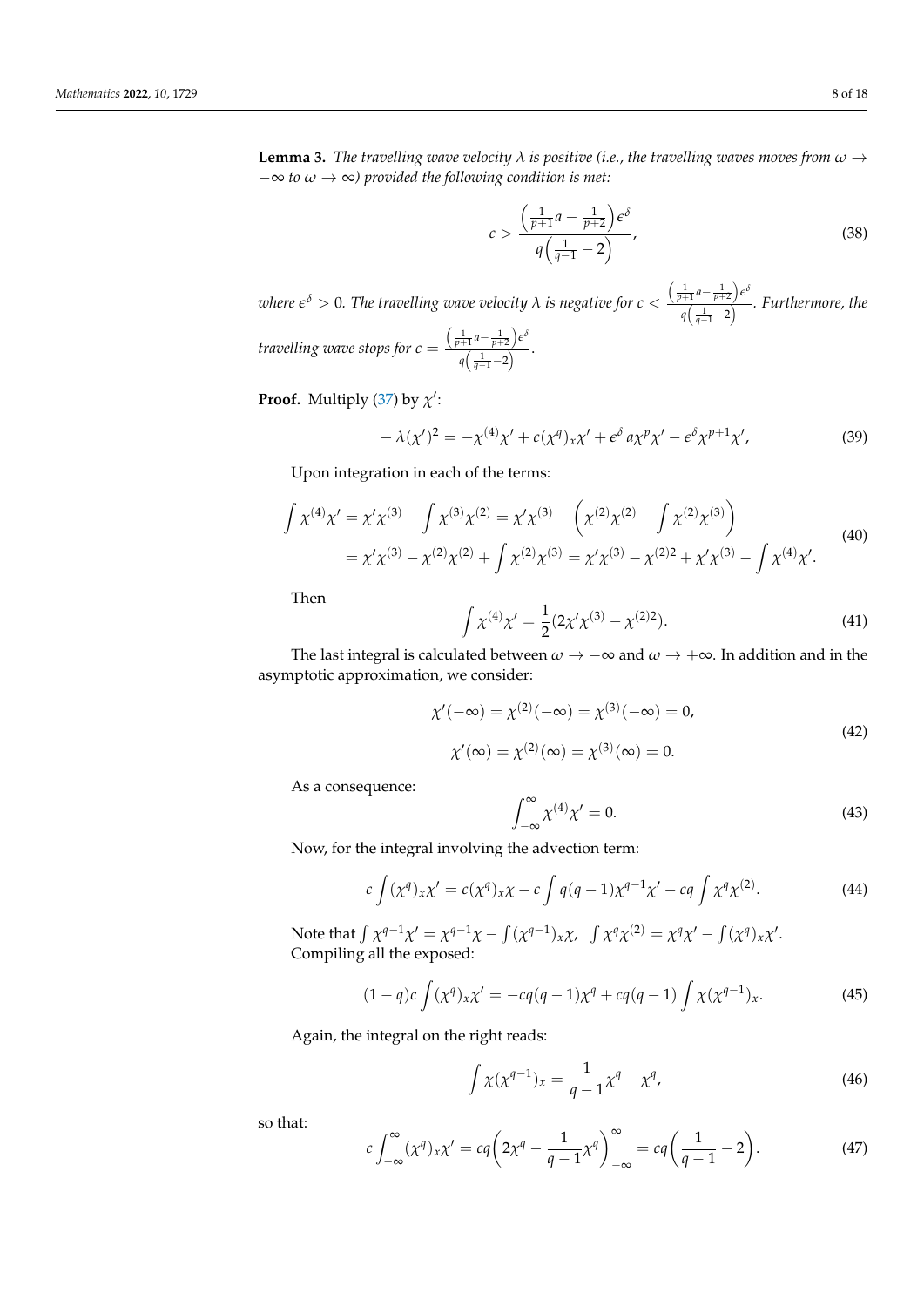**Lemma 3.** *The travelling wave velocity*  $\lambda$  *is positive (i.e., the travelling waves moves from*  $\omega \rightarrow$ −∞ *to ω* → ∞*) provided the following condition is met:*

<span id="page-7-1"></span>
$$
c > \frac{\left(\frac{1}{p+1}a - \frac{1}{p+2}\right)\epsilon^{\delta}}{q\left(\frac{1}{q-1} - 2\right)},
$$
\n(38)

 $\alpha$  *where*  $\epsilon^\delta > 0$ *. The travelling wave velocity*  $\lambda$  *is negative for*  $c < \delta$  $\left(\frac{1}{p+1}a-\frac{1}{p+2}\right)e^{\delta}$ *q*( $\frac{1}{q(1-1)}$  −2) *. Furthermore, the travelling wave stops for c* =  $\left(\frac{1}{p+1}a-\frac{1}{p+2}\right)\epsilon^{\delta}$  $\frac{q(\frac{1}{q-1}-2)}{q(\frac{1}{q-1}-2)}$ .

**Proof.** Multiply [\(37\)](#page-6-0) by  $\chi'$ :

<span id="page-7-0"></span>
$$
-\lambda(\chi')^2 = -\chi^{(4)}\chi' + c(\chi^q)_{x}\chi' + \epsilon^{\delta} a\chi^p\chi' - \epsilon^{\delta}\chi^{p+1}\chi',
$$
\n(39)

Upon integration in each of the terms:

$$
\int \chi^{(4)} \chi' = \chi' \chi^{(3)} - \int \chi^{(3)} \chi^{(2)} = \chi' \chi^{(3)} - \left( \chi^{(2)} \chi^{(2)} - \int \chi^{(2)} \chi^{(3)} \right)
$$
  
=  $\chi' \chi^{(3)} - \chi^{(2)} \chi^{(2)} + \int \chi^{(2)} \chi^{(3)} = \chi' \chi^{(3)} - \chi^{(2)2} + \chi' \chi^{(3)} - \int \chi^{(4)} \chi'.$  (40)

Then

$$
\int \chi^{(4)} \chi' = \frac{1}{2} (2\chi' \chi^{(3)} - \chi^{(2)2}). \tag{41}
$$

The last integral is calculated between  $\omega \to -\infty$  and  $\omega \to +\infty$ . In addition and in the asymptotic approximation, we consider:

$$
\chi'(-\infty) = \chi^{(2)}(-\infty) = \chi^{(3)}(-\infty) = 0,
$$
  
\n
$$
\chi'(\infty) = \chi^{(2)}(\infty) = \chi^{(3)}(\infty) = 0.
$$
\n(42)

As a consequence:

$$
\int_{-\infty}^{\infty} \chi^{(4)} \chi' = 0.
$$
 (43)

Now, for the integral involving the advection term:

$$
c \int (\chi^q)_x \chi' = c(\chi^q)_x \chi - c \int q(q-1) \chi^{q-1} \chi' - cq \int \chi^q \chi^{(2)}.
$$
 (44)

Note that  $\int \chi^{q-1} \chi' = \chi^{q-1} \chi - \int (\chi^{q-1})_x \chi$ ,  $\int \chi^q \chi^{(2)} = \chi^q \chi' - \int (\chi^q)_x \chi'$ . Compiling all the exposed:

$$
(1-q)c\int (\chi^q)_x\chi' = -cq(q-1)\chi^q + cq(q-1)\int \chi(\chi^{q-1})_x.
$$
 (45)

Again, the integral on the right reads:

$$
\int \chi(\chi^{q-1})_x = \frac{1}{q-1} \chi^q - \chi^q,\tag{46}
$$

so that:

$$
c \int_{-\infty}^{\infty} (\chi^q)_x \chi' = c q \left( 2\chi^q - \frac{1}{q-1} \chi^q \right)_{-\infty}^{\infty} = c q \left( \frac{1}{q-1} - 2 \right).
$$
 (47)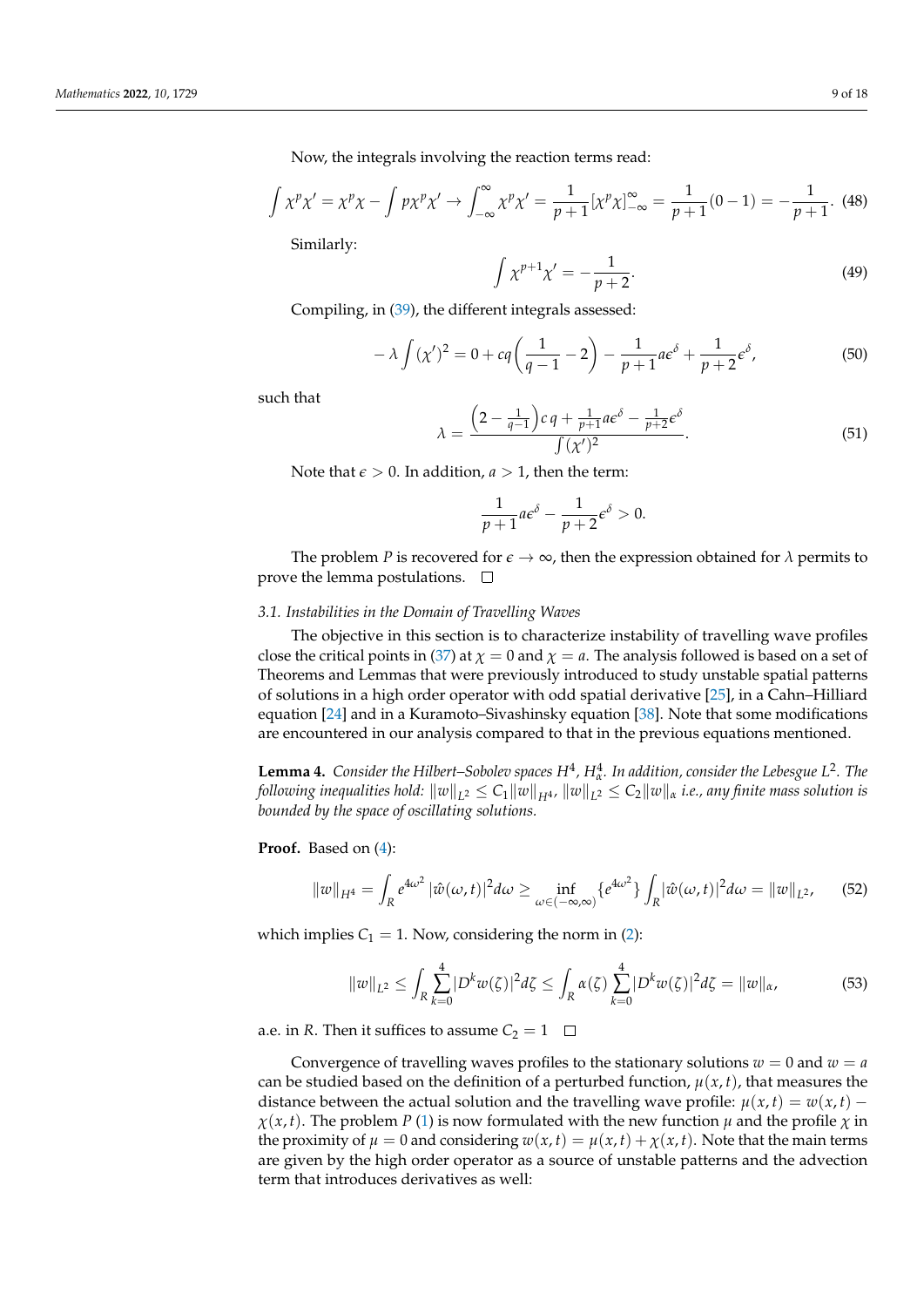Now, the integrals involving the reaction terms read:

$$
\int \chi^p \chi' = \chi^p \chi - \int p \chi^p \chi' \to \int_{-\infty}^{\infty} \chi^p \chi' = \frac{1}{p+1} [\chi^p \chi]_{-\infty}^{\infty} = \frac{1}{p+1} (0-1) = -\frac{1}{p+1}.
$$
 (48)

Similarly:

$$
\int \chi^{p+1} \chi' = -\frac{1}{p+2}.\tag{49}
$$

Compiling, in [\(39\)](#page-7-0), the different integrals assessed:

$$
-\lambda \int (\chi')^2 = 0 + c q \left(\frac{1}{q-1} - 2\right) - \frac{1}{p+1} a \epsilon^{\delta} + \frac{1}{p+2} \epsilon^{\delta},\tag{50}
$$

such that

$$
\lambda = \frac{\left(2 - \frac{1}{q-1}\right)c q + \frac{1}{p+1}a\epsilon^{\delta} - \frac{1}{p+2}\epsilon^{\delta}}{\int (\chi')^2}.
$$
\n(51)

Note that  $\epsilon > 0$ . In addition,  $a > 1$ , then the term:

$$
\frac{1}{p+1}a\epsilon^{\delta}-\frac{1}{p+2}\epsilon^{\delta}>0.
$$

The problem *P* is recovered for  $\epsilon \to \infty$ , then the expression obtained for  $\lambda$  permits to prove the lemma postulations.  $\square$ 

#### <span id="page-8-0"></span>*3.1. Instabilities in the Domain of Travelling Waves*

The objective in this section is to characterize instability of travelling wave profiles close the critical points in [\(37\)](#page-6-0) at  $\chi = 0$  and  $\chi = a$ . The analysis followed is based on a set of Theorems and Lemmas that were previously introduced to study unstable spatial patterns of solutions in a high order operator with odd spatial derivative [\[25\]](#page-17-0), in a Cahn–Hilliard equation [\[24\]](#page-17-11) and in a Kuramoto–Sivashinsky equation [\[38\]](#page-17-12). Note that some modifications are encountered in our analysis compared to that in the previous equations mentioned.

<span id="page-8-1"></span>**Lemma 4.** Consider the Hilbert–Sobolev spaces  $H^4$ ,  $H^4_\alpha$ . In addition, consider the Lebesgue  $L^2$ . The *following inequalities hold:*  $\|w\|_{L^2}\leq C_1\|w\|_{H^4}$ ,  $\|w\|_{L^2}\leq C_2\|w\|_{\alpha}$  *i.e., any finite mass solution is bounded by the space of oscillating solutions.*

**Proof.** Based on [\(4\)](#page-2-1):

$$
||w||_{H^{4}} = \int_{R} e^{4\omega^{2}} |\hat{w}(\omega, t)|^{2} d\omega \ge \inf_{\omega \in (-\infty, \infty)} \{e^{4\omega^{2}}\} \int_{R} |\hat{w}(\omega, t)|^{2} d\omega = ||w||_{L^{2}}, \quad (52)
$$

which implies  $C_1 = 1$ . Now, considering the norm in [\(2\)](#page-1-1):

$$
||w||_{L^2} \le \int_R \sum_{k=0}^4 |D^k w(\zeta)|^2 d\zeta \le \int_R \alpha(\zeta) \sum_{k=0}^4 |D^k w(\zeta)|^2 d\zeta = ||w||_{\alpha},\tag{53}
$$

a.e. in *R*. Then it suffices to assume  $C_2 = 1$ 

Convergence of travelling waves profiles to the stationary solutions  $w = 0$  and  $w = a$ can be studied based on the definition of a perturbed function,  $\mu(x, t)$ , that measures the distance between the actual solution and the travelling wave profile:  $\mu(x, t) = w(x, t)$  $\chi(x,t)$ . The problem *P* [\(1\)](#page-1-0) is now formulated with the new function *µ* and the profile *χ* in the proximity of  $\mu = 0$  and considering  $w(x, t) = \mu(x, t) + \chi(x, t)$ . Note that the main terms are given by the high order operator as a source of unstable patterns and the advection term that introduces derivatives as well: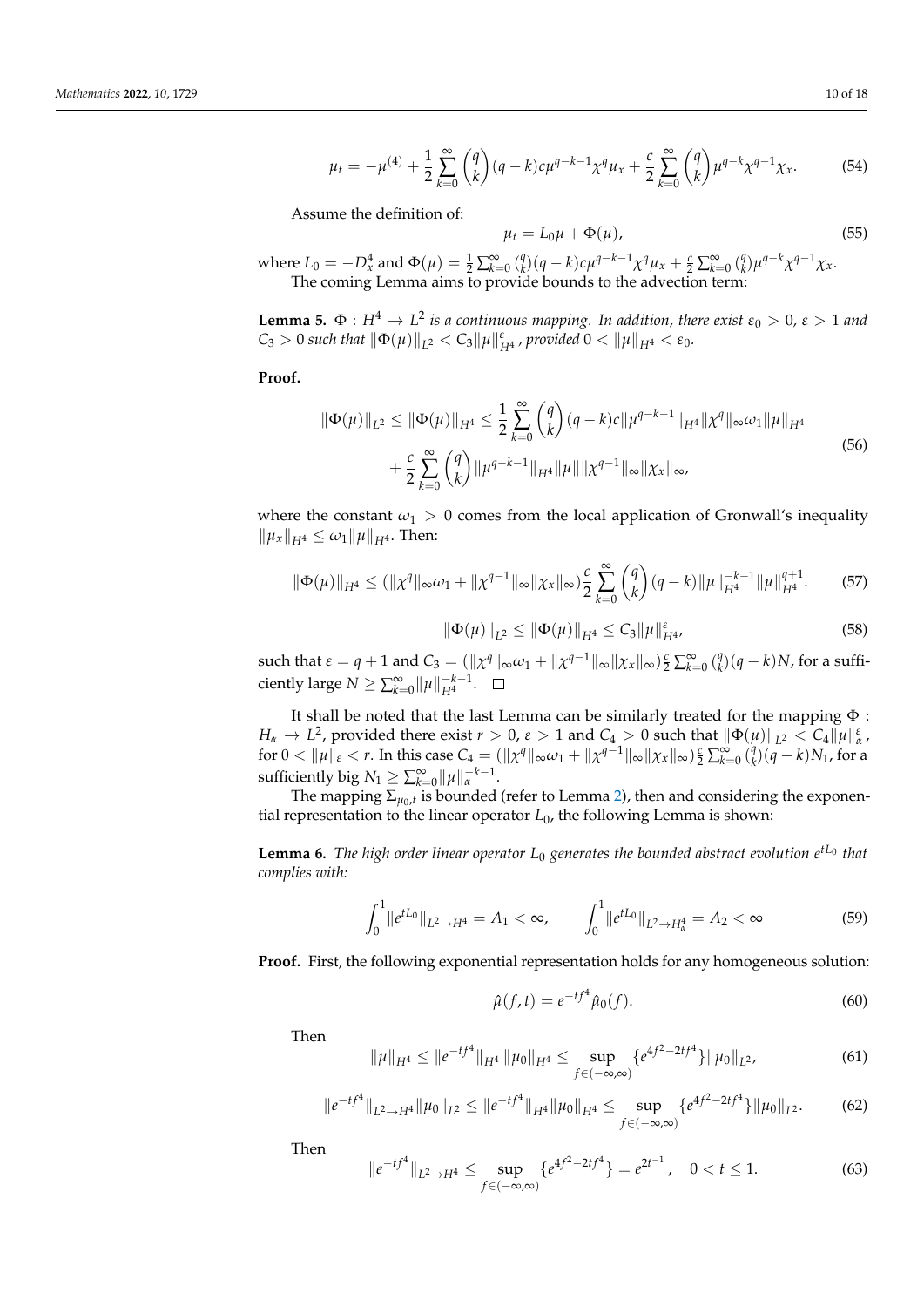$$
\mu_t = -\mu^{(4)} + \frac{1}{2} \sum_{k=0}^{\infty} \binom{q}{k} (q-k)c\mu^{q-k-1} \chi^q \mu_x + \frac{c}{2} \sum_{k=0}^{\infty} \binom{q}{k} \mu^{q-k} \chi^{q-1} \chi_x.
$$
 (54)

Assume the definition of:

$$
\mu_t = L_0 \mu + \Phi(\mu), \tag{55}
$$

where  $L_0 = -D_x^4$  and  $\Phi(\mu) = \frac{1}{2} \sum_{k=0}^{\infty} {q \choose k}$ *k*<sub>2</sub>(*q* − *k*)*c* $\mu$ <sup>*q*−*k*−1</sup> $\chi$ <sup>*q*</sup> $\mu$ <sub>*x*</sub> +  $\frac{c}{2}$   $\sum_{k=0}^{\infty}$  ( $\frac{q}{k}$ <sup>*q*</sup>)</del> $\mu$ <sup>*q*−*k*</sup> $\chi$ <sup>*q*−1</sup> $\chi$ *x*. The coming Lemma aims to provide bounds to the advection term:

**Lemma 5.**  $\Phi: H^4 \to L^2$  is a continuous mapping. In addition, there exist  $\varepsilon_0 > 0$ ,  $\varepsilon > 1$  and  $C_3 > 0$  *such that*  $\|\Phi(\mu)\|_{L^2} < C_3 \|\mu\|_{H^4}^{\varepsilon}$ , provided  $0 < {\|\mu\|}_{H^4} < \varepsilon_0$ .

**Proof.**

$$
\|\Phi(\mu)\|_{L^{2}} \leq \|\Phi(\mu)\|_{H^{4}} \leq \frac{1}{2} \sum_{k=0}^{\infty} {q \choose k} (q-k)c \|\mu^{q-k-1}\|_{H^{4}} \|\chi^{q}\|_{\infty} \omega_{1} \|\mu\|_{H^{4}} + \frac{c}{2} \sum_{k=0}^{\infty} {q \choose k} \|\mu^{q-k-1}\|_{H^{4}} \|\mu\| \|\chi^{q-1}\|_{\infty} \|\chi_{x}\|_{\infty},
$$
\n(56)

where the constant  $\omega_1 > 0$  comes from the local application of Gronwall's inequality  $\|\mu_x\|_{H^4} \leq \omega_1 \|\mu\|_{H^4}$ . Then:

$$
\|\Phi(\mu)\|_{H^4} \le (\|\chi^q\|_{\infty}\omega_1 + \|\chi^{q-1}\|_{\infty}\|\chi_x\|_{\infty})\frac{c}{2} \sum_{k=0}^{\infty} \binom{q}{k} (q-k)\|\mu\|_{H^4}^{-k-1} \|\mu\|_{H^4}^{q+1}.
$$
 (57)

$$
\|\Phi(\mu)\|_{L^2} \le \|\Phi(\mu)\|_{H^4} \le C_3 \|\mu\|_{H^4}^{\varepsilon},\tag{58}
$$

 $\text{such that } \varepsilon = q + 1 \text{ and } C_3 = (\|\chi^q\|_{\infty}\omega_1 + \|\chi^{q-1}\|_{\infty}\|\chi_{x}\|_{\infty})\frac{c}{2} \sum_{k=0}^{\infty} \binom{q}{k}$  $_{k}^{q}$  $(q-k)N$ , for a sufficiently large  $N \ge \sum_{k=0}^{\infty} ||\mu||_{H^4}^{-k-1}$  $\frac{-\kappa-1}{H^4}$ .

It shall be noted that the last Lemma can be similarly treated for the mapping Φ : *H*<sub>*α*</sub>  $\rightarrow$  *L*<sup>2</sup>, provided there exist *r*  $> 0$ , *ε*  $> 1$  and *C*<sub>4</sub>  $> 0$  such that  $\|\Phi(\mu)\|_{L^2} < C_4 \|\mu\|_{\alpha}^{\varepsilon}$ ,  $f \text{ for } 0 < \| \mu \|_\varepsilon < r.$  In this case  $C_4 = ( \| \chi^q \|_\infty \omega_1 + \| \chi^{q-1} \|_\infty \| \chi_x \|_\infty) \frac{c}{2} \sum_{k=0}^\infty \binom{q}{k}$  $_{k}^{q}(q-k)N_{1}$ , for a sufficiently big  $N_1 \ge \sum_{k=0}^{\infty} ||\mu||_{\alpha}^{-k-1}$ .

The mapping  $\Sigma_{\mu_0,t}$  is bounded (refer to Lemma [2\)](#page-4-2), then and considering the exponential representation to the linear operator *L*0, the following Lemma is shown:

**Lemma 6.** *The high order linear operator L*<sup>0</sup> *generates the bounded abstract evolution e tL*<sup>0</sup> *that complies with:*

$$
\int_0^1 \|e^{tL_0}\|_{L^2 \to H^4} = A_1 < \infty, \qquad \int_0^1 \|e^{tL_0}\|_{L^2 \to H^4_\alpha} = A_2 < \infty \tag{59}
$$

**Proof.** First, the following exponential representation holds for any homogeneous solution:

$$
\hat{\mu}(f,t) = e^{-tf^4} \hat{\mu}_0(f). \tag{60}
$$

Then

$$
\|\mu\|_{H^{4}} \leq \|e^{-tf^{4}}\|_{H^{4}} \|\mu_{0}\|_{H^{4}} \leq \sup_{f \in (-\infty,\infty)} \{e^{4f^{2}-2tf^{4}}\} \|\mu_{0}\|_{L^{2}},
$$
\n(61)

$$
\|e^{-tf^4}\|_{L^2\to H^4}\|\mu_0\|_{L^2}\leq\|e^{-tf^4}\|_{H^4}\|\mu_0\|_{H^4}\leq \sup_{f\in(-\infty,\infty)}\{e^{4f^2-2tf^4}\}\|\mu_0\|_{L^2}.\tag{62}
$$

Then

$$
||e^{-tf^4}||_{L^2 \to H^4} \le \sup_{f \in (-\infty,\infty)} \{e^{4f^2 - 2tf^4}\} = e^{2t^{-1}}, \quad 0 < t \le 1. \tag{63}
$$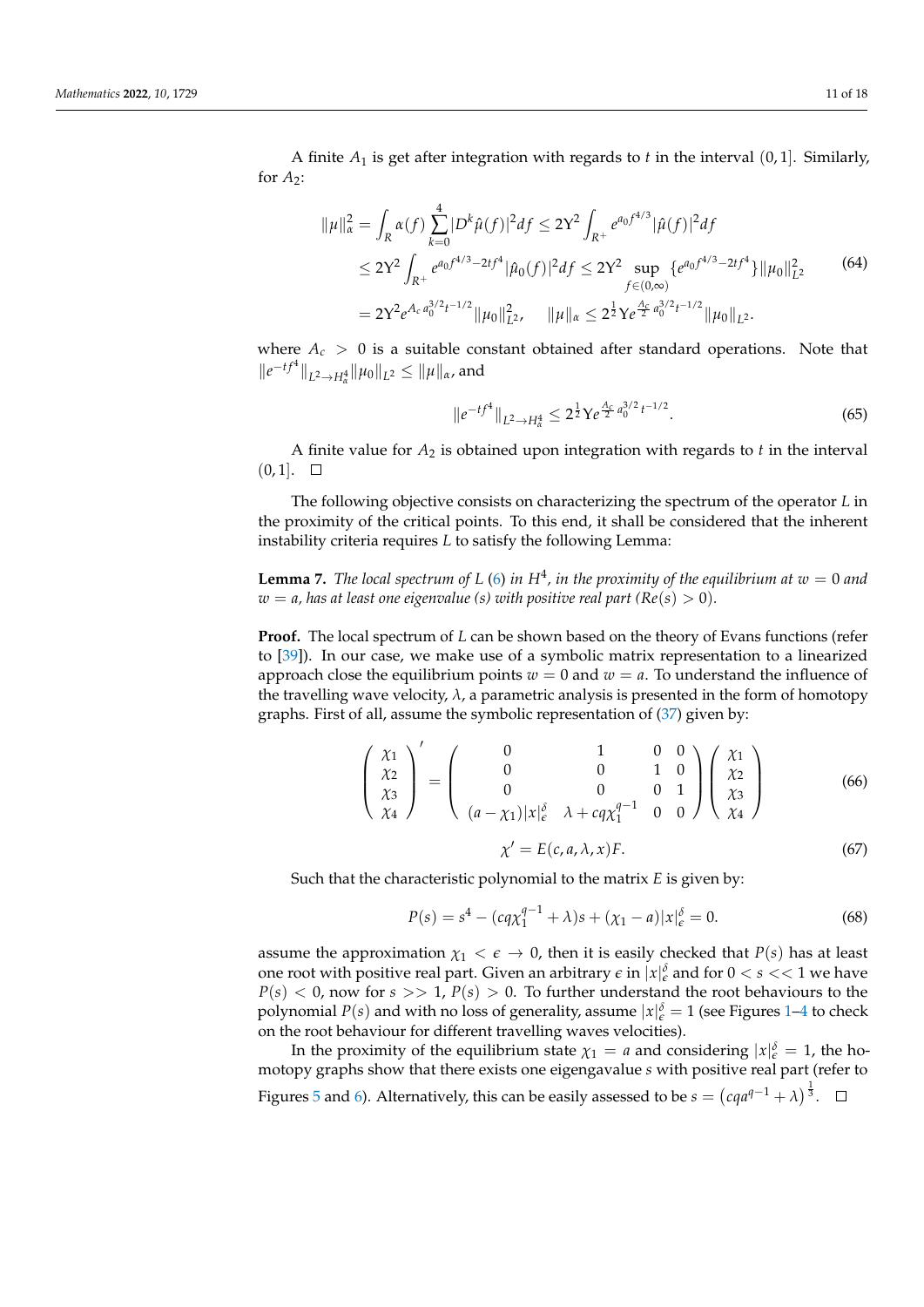A finite *A*<sup>1</sup> is get after integration with regards to *t* in the interval (0, 1]. Similarly, for  $A_2$ :

$$
\|\mu\|_{\alpha}^{2} = \int_{R} \alpha(f) \sum_{k=0}^{4} |D^{k}\hat{\mu}(f)|^{2} df \le 2Y^{2} \int_{R^{+}} e^{a_{0}f^{4/3}} |\hat{\mu}(f)|^{2} df
$$
  
\n
$$
\le 2Y^{2} \int_{R^{+}} e^{a_{0}f^{4/3} - 2tf^{4}} |\hat{\mu}_{0}(f)|^{2} df \le 2Y^{2} \sup_{f \in (0,\infty)} \{e^{a_{0}f^{4/3} - 2tf^{4}}\} ||\mu_{0}||_{L^{2}}^{2}
$$
(64)  
\n
$$
= 2Y^{2} e^{A_{c} a_{0}^{3/2}t^{-1/2}} ||\mu_{0}||_{L^{2}}^{2}, \quad ||\mu||_{\alpha} \le 2^{\frac{1}{2}} Ye^{\frac{A_{c}}{2} a_{0}^{3/2}t^{-1/2}} ||\mu_{0}||_{L^{2}}^{2}.
$$

where  $A_c > 0$  is a suitable constant obtained after standard operations. Note that  $||e^{-tf^4}||_{L^2 \to H^4_\alpha} ||\mu_0||_{L^2} \le ||\mu||_\alpha$ , and

$$
\|e^{-tf^4}\|_{L^2\to H^4_\alpha} \le 2^{\frac{1}{2}} Y e^{\frac{A_c}{2} a_0^{3/2} t^{-1/2}}.
$$
\n(65)

A finite value for  $A_2$  is obtained upon integration with regards to  $t$  in the interval  $(0, 1]$ .  $\square$ 

The following objective consists on characterizing the spectrum of the operator *L* in the proximity of the critical points. To this end, it shall be considered that the inherent instability criteria requires *L* to satisfy the following Lemma:

<span id="page-10-0"></span>**Lemma 7.** *The local spectrum of L* [\(6\)](#page-2-0) *in*  $H^4$ , *in the proximity of the equilibrium at*  $w = 0$  *and*  $w = a$ , has at least one eigenvalue (s) with positive real part ( $Re(s) > 0$ ).

**Proof.** The local spectrum of *L* can be shown based on the theory of Evans functions (refer to [\[39\]](#page-17-13)). In our case, we make use of a symbolic matrix representation to a linearized approach close the equilibrium points  $w = 0$  and  $w = a$ . To understand the influence of the travelling wave velocity,  $\lambda$ , a parametric analysis is presented in the form of homotopy graphs. First of all, assume the symbolic representation of [\(37\)](#page-6-0) given by:

$$
\begin{pmatrix} \chi_1 \\ \chi_2 \\ \chi_3 \\ \chi_4 \end{pmatrix}' = \begin{pmatrix} 0 & 1 & 0 & 0 \\ 0 & 0 & 1 & 0 \\ 0 & 0 & 0 & 1 \\ (a - \chi_1)|x|_{\epsilon}^{\delta} & \lambda + c q \chi_1^{q-1} & 0 & 0 \end{pmatrix} \begin{pmatrix} \chi_1 \\ \chi_2 \\ \chi_3 \\ \chi_4 \end{pmatrix}
$$
(66)

$$
\chi' = E(c, a, \lambda, x)F.
$$
\n(67)

Such that the characteristic polynomial to the matrix *E* is given by:

$$
P(s) = s4 - (cq\chi_1^{q-1} + \lambda)s + (\chi_1 - a)|x|_{\epsilon}^{\delta} = 0.
$$
 (68)

assume the approximation  $\chi_1 < \epsilon \to 0$ , then it is easily checked that  $P(s)$  has at least one root with positive real part. Given an arbitrary  $\epsilon$  in  $|x|_{\epsilon}^{\delta}$  and for  $0 < s << 1$  we have  $P(s)$  < 0, now for  $s$  >> 1,  $P(s)$  > 0. To further understand the root behaviours to the polynomial  $P(s)$  and with no loss of generality, assume  $|x|_{\epsilon}^{\delta} = 1$  (see Figures [1–](#page-11-0)[4](#page-12-0) to check on the root behaviour for different travelling waves velocities).

In the proximity of the equilibrium state  $\chi_1 = a$  and considering  $|x|_{\epsilon}^{\delta} = 1$ , the homotopy graphs show that there exists one eigengavalue *s* with positive real part (refer to Figures [5](#page-12-1) and [6\)](#page-12-2). Alternatively, this can be easily assessed to be  $s = (cqa^{q-1} + \lambda)^{\frac{1}{3}}$ .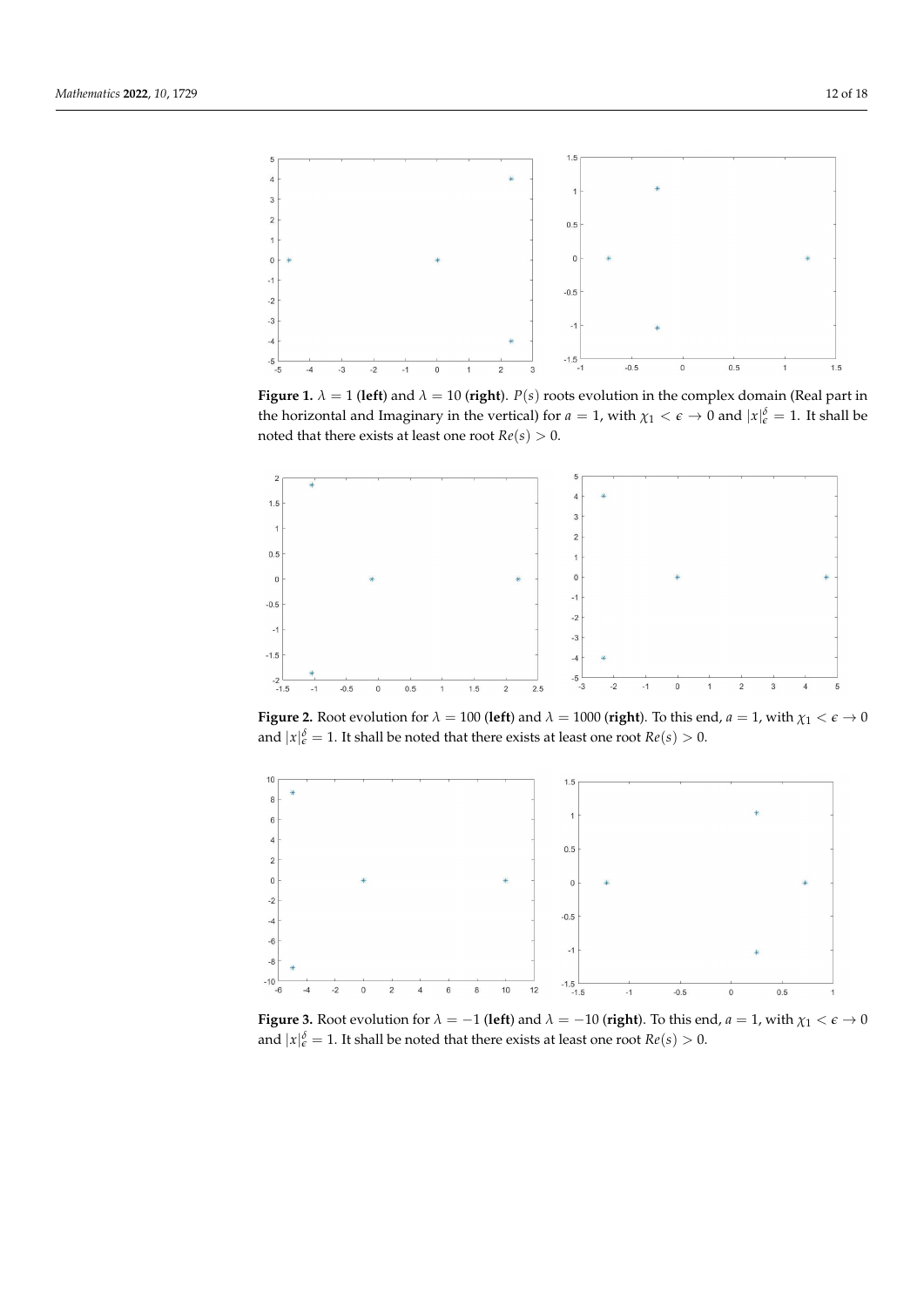<span id="page-11-0"></span>

**Figure 1.**  $\lambda = 1$  (left) and  $\lambda = 10$  (right).  $P(s)$  roots evolution in the complex domain (Real part in the horizontal and Imaginary in the vertical) for  $a = 1$ , with  $\chi_1 < \epsilon \to 0$  and  $|x|_{\epsilon}^{\delta} = 1$ . It shall be noted that there exists at least one root  $Re(s) > 0$ .



**Figure 2.** Root evolution for  $\lambda = 100$  (left) and  $\lambda = 1000$  (right). To this end,  $a = 1$ , with  $\chi_1 < \epsilon \to 0$ and  $|x|_{\epsilon}^{\delta} = 1$ . It shall be noted that there exists at least one root  $Re(s) > 0$ .



**Figure 3.** Root evolution for  $\lambda = -1$  (**left**) and  $\lambda = -10$  (**right**). To this end,  $a = 1$ , with  $\chi_1 < \epsilon \to 0$ and  $|x|_{\varepsilon}^{\delta} = 1$ . It shall be noted that there exists at least one root  $Re(s) > 0$ .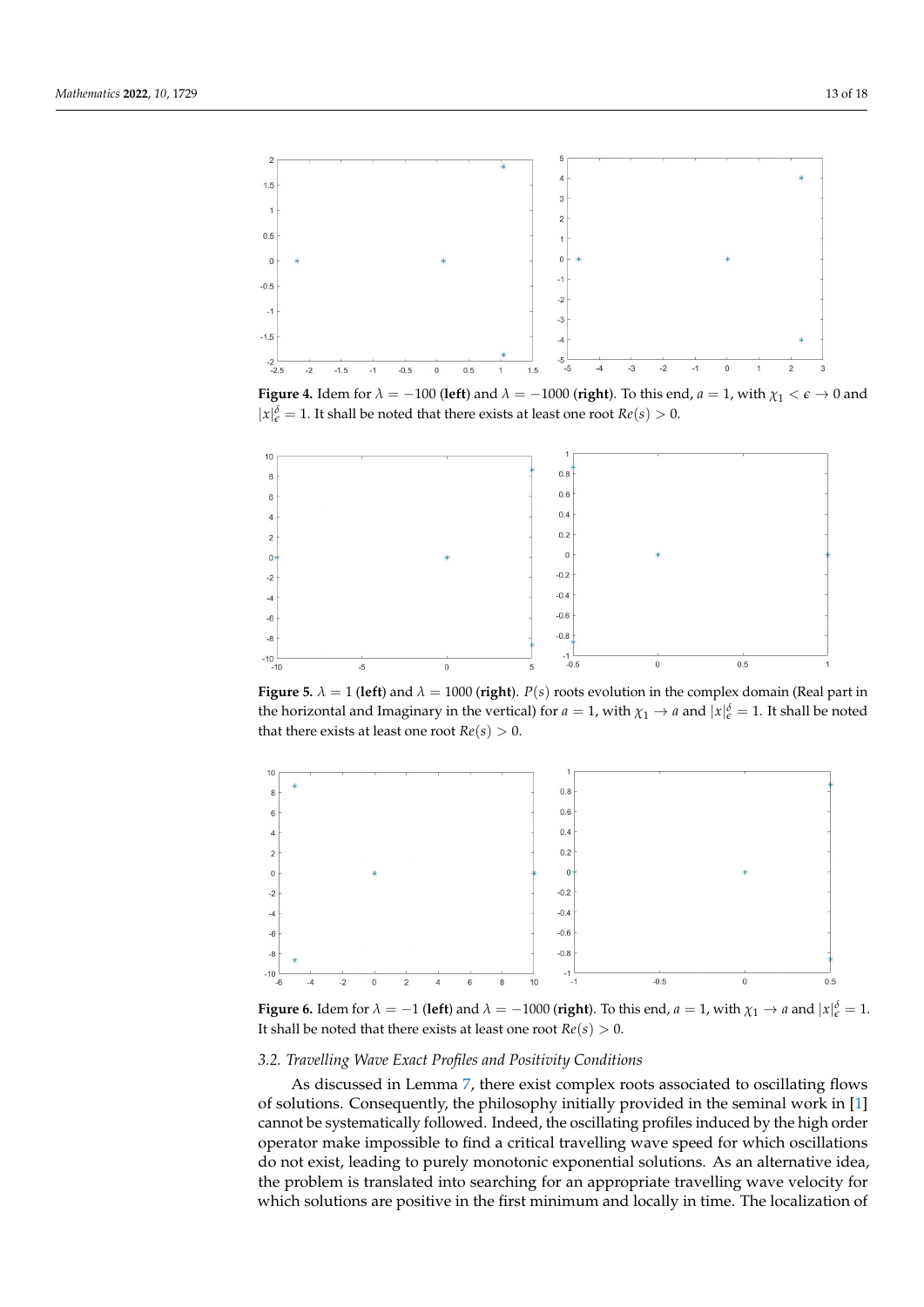<span id="page-12-0"></span>

**Figure 4.** Idem for  $\lambda = -100$  (**left**) and  $\lambda = -1000$  (**right**). To this end,  $a = 1$ , with  $\chi_1 < \epsilon \to 0$  and  $|x|_{\epsilon}^{\delta} = 1$ . It shall be noted that there exists at least one root  $Re(s) > 0$ .

<span id="page-12-1"></span>

**Figure 5.**  $\lambda = 1$  (**left**) and  $\lambda = 1000$  (**right**). *P(s)* roots evolution in the complex domain (Real part in the horizontal and Imaginary in the vertical) for  $a = 1$ , with  $\chi_1 \to a$  and  $|x|_{\epsilon}^{\delta} = 1$ . It shall be noted that there exists at least one root  $Re(s) > 0$ .

<span id="page-12-2"></span>

**Figure 6.** Idem for  $\lambda = -1$  (left) and  $\lambda = -1000$  (right). To this end,  $a = 1$ , with  $\chi_1 \to a$  and  $|x|_e^{\delta} = 1$ . It shall be noted that there exists at least one root  $Re(s) > 0$ .

# *3.2. Travelling Wave Exact Profiles and Positivity Conditions*

As discussed in Lemma [7,](#page-10-0) there exist complex roots associated to oscillating flows of solutions. Consequently, the philosophy initially provided in the seminal work in [\[1\]](#page-16-0) cannot be systematically followed. Indeed, the oscillating profiles induced by the high order operator make impossible to find a critical travelling wave speed for which oscillations do not exist, leading to purely monotonic exponential solutions. As an alternative idea, the problem is translated into searching for an appropriate travelling wave velocity for which solutions are positive in the first minimum and locally in time. The localization of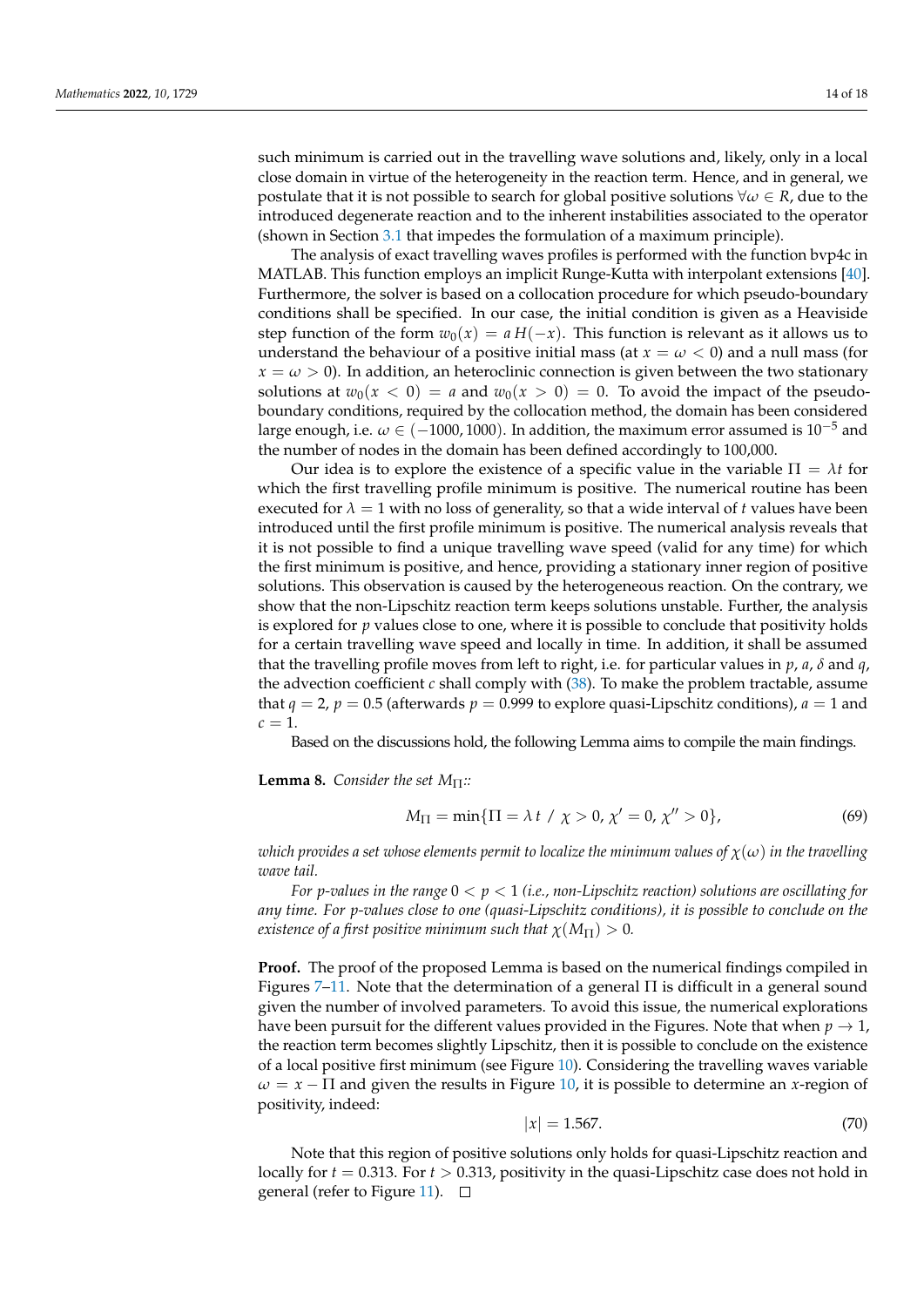such minimum is carried out in the travelling wave solutions and, likely, only in a local close domain in virtue of the heterogeneity in the reaction term. Hence, and in general, we postulate that it is not possible to search for global positive solutions ∀*ω* ∈ *R*, due to the introduced degenerate reaction and to the inherent instabilities associated to the operator (shown in Section [3.1](#page-8-0) that impedes the formulation of a maximum principle).

The analysis of exact travelling waves profiles is performed with the function bvp4c in MATLAB. This function employs an implicit Runge-Kutta with interpolant extensions [\[40\]](#page-17-14). Furthermore, the solver is based on a collocation procedure for which pseudo-boundary conditions shall be specified. In our case, the initial condition is given as a Heaviside step function of the form  $w_0(x) = a H(-x)$ . This function is relevant as it allows us to understand the behaviour of a positive initial mass (at  $x = \omega < 0$ ) and a null mass (for  $x = \omega > 0$ ). In addition, an heteroclinic connection is given between the two stationary solutions at  $w_0(x < 0) = a$  and  $w_0(x > 0) = 0$ . To avoid the impact of the pseudoboundary conditions, required by the collocation method, the domain has been considered large enough, i.e.  $\omega \in (-1000, 1000)$ . In addition, the maximum error assumed is 10<sup>-5</sup> and the number of nodes in the domain has been defined accordingly to 100,000.

Our idea is to explore the existence of a specific value in the variable  $\Pi = \lambda t$  for which the first travelling profile minimum is positive. The numerical routine has been executed for  $\lambda = 1$  with no loss of generality, so that a wide interval of *t* values have been introduced until the first profile minimum is positive. The numerical analysis reveals that it is not possible to find a unique travelling wave speed (valid for any time) for which the first minimum is positive, and hence, providing a stationary inner region of positive solutions. This observation is caused by the heterogeneous reaction. On the contrary, we show that the non-Lipschitz reaction term keeps solutions unstable. Further, the analysis is explored for *p* values close to one, where it is possible to conclude that positivity holds for a certain travelling wave speed and locally in time. In addition, it shall be assumed that the travelling profile moves from left to right, i.e. for particular values in *p*, *a*, *δ* and *q*, the advection coefficient *c* shall comply with [\(38\)](#page-7-1). To make the problem tractable, assume that  $q = 2$ ,  $p = 0.5$  (afterwards  $p = 0.999$  to explore quasi-Lipschitz conditions),  $a = 1$  and  $c = 1$ .

Based on the discussions hold, the following Lemma aims to compile the main findings.

**Lemma 8.** *Consider the set*  $M_{\Pi}$ *::* 

$$
M_{\Pi} = \min\{\Pi = \lambda \ t \ / \ \chi > 0, \ \chi' = 0, \ \chi'' > 0\},\tag{69}
$$

*which provides a set whose elements permit to localize the minimum values of*  $\chi(\omega)$  *in the travelling wave tail.*

*For p-values in the range* 0 < *p* < 1 *(i.e., non-Lipschitz reaction) solutions are oscillating for any time. For p-values close to one (quasi-Lipschitz conditions), it is possible to conclude on the existence of a first positive minimum such that*  $\chi(M_{\Pi}) > 0$ .

**Proof.** The proof of the proposed Lemma is based on the numerical findings compiled in Figures  $7-11$ . Note that the determination of a general  $\Pi$  is difficult in a general sound given the number of involved parameters. To avoid this issue, the numerical explorations have been pursuit for the different values provided in the Figures. Note that when  $p \to 1$ , the reaction term becomes slightly Lipschitz, then it is possible to conclude on the existence of a local positive first minimum (see Figure [10\)](#page-15-1). Considering the travelling waves variable  $\omega = x - \Pi$  and given the results in Figure [10,](#page-15-1) it is possible to determine an *x*-region of positivity, indeed:

$$
|x| = 1.567.\t(70)
$$

Note that this region of positive solutions only holds for quasi-Lipschitz reaction and locally for *t* = 0.313. For *t* > 0.313, positivity in the quasi-Lipschitz case does not hold in general (refer to Figure [11\)](#page-15-0).  $\square$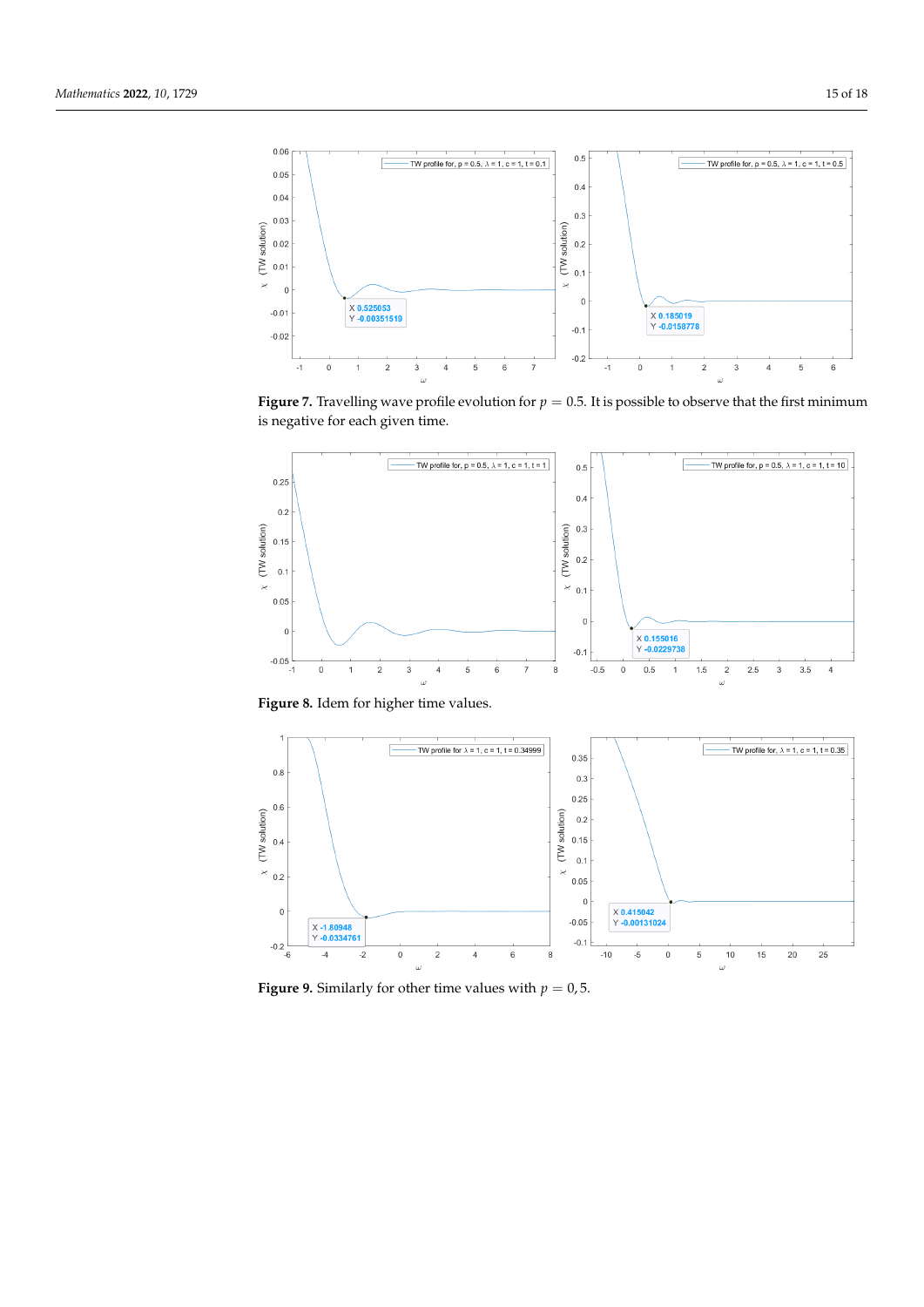<span id="page-14-0"></span>

**Figure 7.** Travelling wave profile evolution for  $p = 0.5$ . It is possible to observe that the first minimum is negative for each given time.



**Figure 8.** Idem for higher time values.



**Figure 9.** Similarly for other time values with  $p = 0.5$ .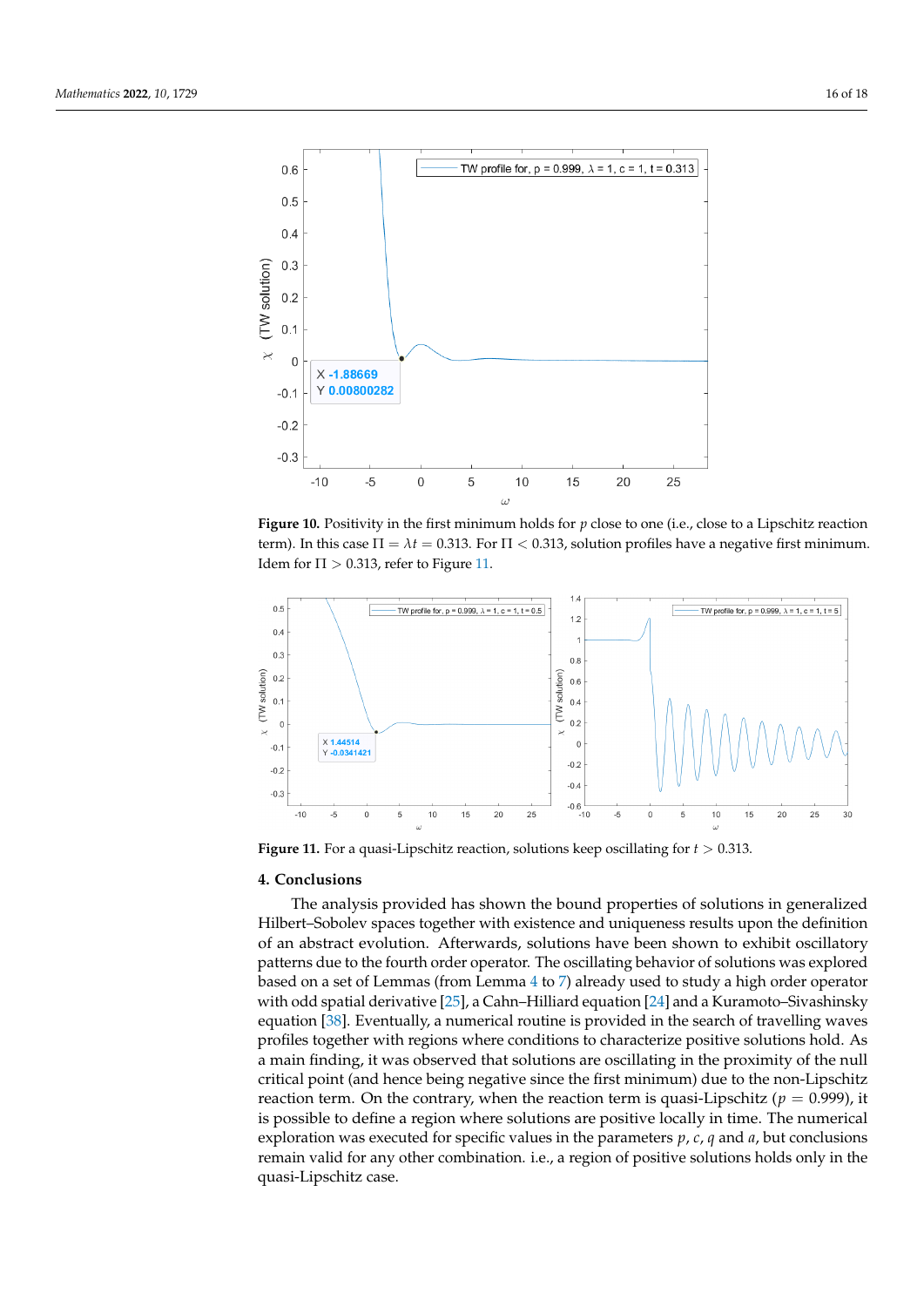<span id="page-15-1"></span>

**Figure 10.** Positivity in the first minimum holds for *p* close to one (i.e., close to a Lipschitz reaction term). In this case  $\Pi = \lambda t = 0.313$ . For  $\Pi < 0.313$ , solution profiles have a negative first minimum. Idem for  $\Pi > 0.313$ , refer to Figure [11.](#page-15-0)

<span id="page-15-0"></span>

**Figure 11.** For a quasi-Lipschitz reaction, solutions keep oscillating for *t* > 0.313.

## **4. Conclusions**

The analysis provided has shown the bound properties of solutions in generalized Hilbert–Sobolev spaces together with existence and uniqueness results upon the definition of an abstract evolution. Afterwards, solutions have been shown to exhibit oscillatory patterns due to the fourth order operator. The oscillating behavior of solutions was explored based on a set of Lemmas (from Lemma [4](#page-8-1) to [7\)](#page-10-0) already used to study a high order operator with odd spatial derivative [\[25\]](#page-17-0), a Cahn–Hilliard equation [\[24\]](#page-17-11) and a Kuramoto–Sivashinsky equation [\[38\]](#page-17-12). Eventually, a numerical routine is provided in the search of travelling waves profiles together with regions where conditions to characterize positive solutions hold. As a main finding, it was observed that solutions are oscillating in the proximity of the null critical point (and hence being negative since the first minimum) due to the non-Lipschitz reaction term. On the contrary, when the reaction term is quasi-Lipschitz ( $p = 0.999$ ), it is possible to define a region where solutions are positive locally in time. The numerical exploration was executed for specific values in the parameters *p*, *c*, *q* and *a*, but conclusions remain valid for any other combination. i.e., a region of positive solutions holds only in the quasi-Lipschitz case.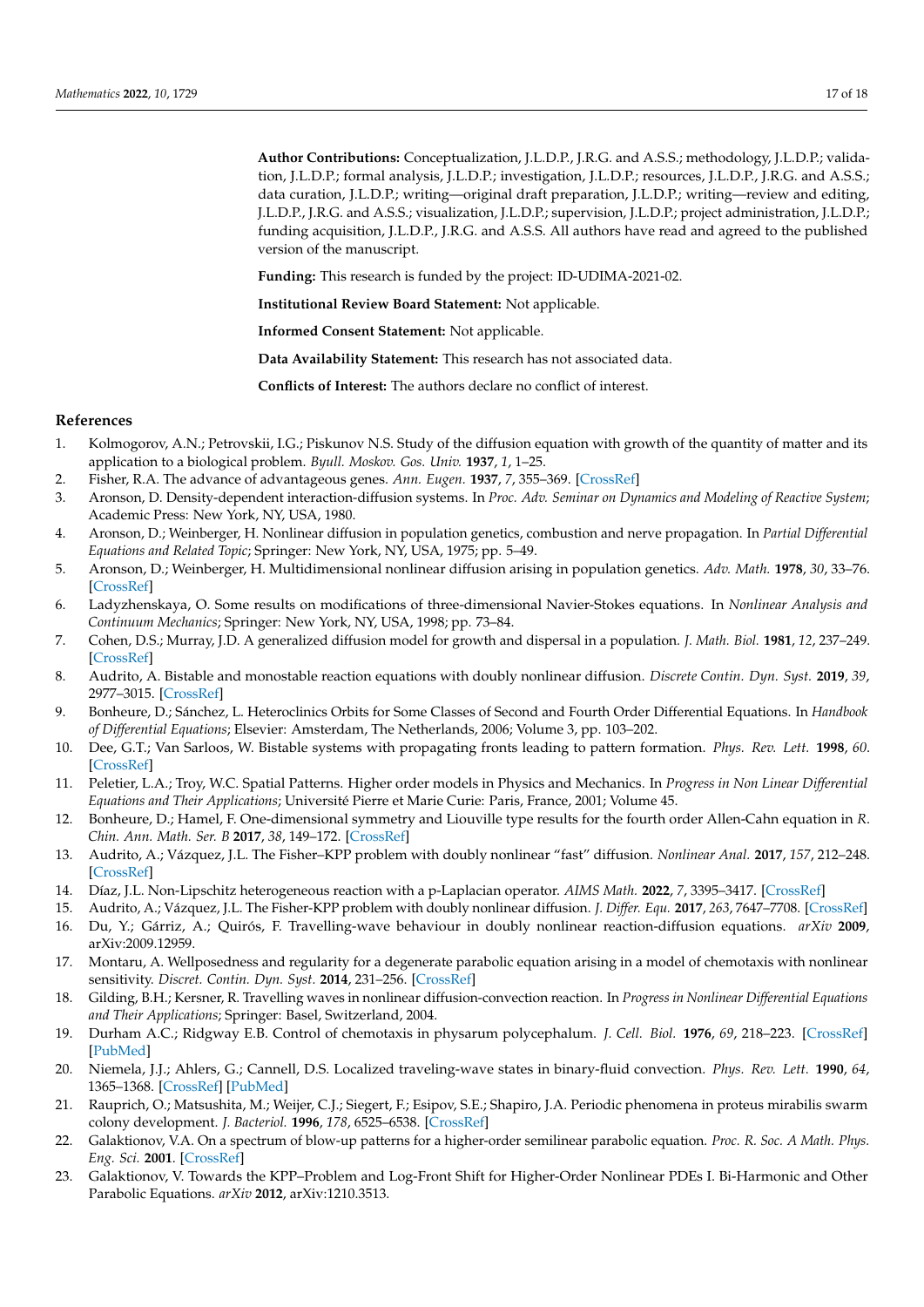**Author Contributions:** Conceptualization, J.L.D.P., J.R.G. and A.S.S.; methodology, J.L.D.P.; validation, J.L.D.P.; formal analysis, J.L.D.P.; investigation, J.L.D.P.; resources, J.L.D.P., J.R.G. and A.S.S.; data curation, J.L.D.P.; writing—original draft preparation, J.L.D.P.; writing—review and editing, J.L.D.P., J.R.G. and A.S.S.; visualization, J.L.D.P.; supervision, J.L.D.P.; project administration, J.L.D.P.; funding acquisition, J.L.D.P., J.R.G. and A.S.S. All authors have read and agreed to the published version of the manuscript.

**Funding:** This research is funded by the project: ID-UDIMA-2021-02.

**Institutional Review Board Statement:** Not applicable.

**Informed Consent Statement:** Not applicable.

**Data Availability Statement:** This research has not associated data.

**Conflicts of Interest:** The authors declare no conflict of interest.

### **References**

- <span id="page-16-0"></span>1. Kolmogorov, A.N.; Petrovskii, I.G.; Piskunov N.S. Study of the diffusion equation with growth of the quantity of matter and its application to a biological problem. *Byull. Moskov. Gos. Univ.* **1937**, *1*, 1–25.
- <span id="page-16-1"></span>2. Fisher, R.A. The advance of advantageous genes. *Ann. Eugen.* **1937**, *7*, 355–369. [\[CrossRef\]](http://doi.org/10.1111/j.1469-1809.1937.tb02153.x)
- <span id="page-16-2"></span>3. Aronson, D. Density-dependent interaction-diffusion systems. In *Proc. Adv. Seminar on Dynamics and Modeling of Reactive System*; Academic Press: New York, NY, USA, 1980.
- 4. Aronson, D.; Weinberger, H. Nonlinear diffusion in population genetics, combustion and nerve propagation. In *Partial Differential Equations and Related Topic*; Springer: New York, NY, USA, 1975; pp. 5–49.
- <span id="page-16-3"></span>5. Aronson, D.; Weinberger, H. Multidimensional nonlinear diffusion arising in population genetics. *Adv. Math.* **1978**, *30*, 33–76. [\[CrossRef\]](http://dx.doi.org/10.1016/0001-8708(78)90130-5)
- <span id="page-16-4"></span>6. Ladyzhenskaya, O. Some results on modifications of three-dimensional Navier-Stokes equations. In *Nonlinear Analysis and Continuum Mechanics*; Springer: New York, NY, USA, 1998; pp. 73–84.
- <span id="page-16-5"></span>7. Cohen, D.S.; Murray, J.D. A generalized diffusion model for growth and dispersal in a population. *J. Math. Biol.* **1981**, *12*, 237–249. [\[CrossRef\]](http://dx.doi.org/10.1007/BF00276132)
- <span id="page-16-6"></span>8. Audrito, A. Bistable and monostable reaction equations with doubly nonlinear diffusion. *Discrete Contin. Dyn. Syst.* **2019**, *39*, 2977–3015. [\[CrossRef\]](http://dx.doi.org/10.3934/dcds.2019124)
- 9. Bonheure, D.; Sánchez, L. Heteroclinics Orbits for Some Classes of Second and Fourth Order Differential Equations. In *Handbook of Differential Equations*; Elsevier: Amsterdam, The Netherlands, 2006; Volume 3, pp. 103–202.
- 10. Dee, G.T.; Van Sarloos, W. Bistable systems with propagating fronts leading to pattern formation. *Phys. Rev. Lett.* **1998**, *60*. [\[CrossRef\]](http://dx.doi.org/10.1103/PhysRevLett.60.2641)
- <span id="page-16-7"></span>11. Peletier, L.A.; Troy, W.C. Spatial Patterns. Higher order models in Physics and Mechanics. In *Progress in Non Linear Differential Equations and Their Applications*; Université Pierre et Marie Curie: Paris, France, 2001; Volume 45.
- <span id="page-16-8"></span>12. Bonheure, D.; Hamel, F. One-dimensional symmetry and Liouville type results for the fourth order Allen-Cahn equation in *R*. *Chin. Ann. Math. Ser. B* **2017**, *38*, 149–172. [\[CrossRef\]](http://dx.doi.org/10.1007/s11401-016-1065-2)
- <span id="page-16-9"></span>13. Audrito, A.; Vázquez, J.L. The Fisher–KPP problem with doubly nonlinear "fast" diffusion. *Nonlinear Anal.* **2017**, *157*, 212–248. [\[CrossRef\]](http://dx.doi.org/10.1016/j.na.2017.03.015)
- <span id="page-16-10"></span>14. Díaz, J.L. Non-Lipschitz heterogeneous reaction with a p-Laplacian operator. *AIMS Math.* **2022**, *7*, 3395–3417. [\[CrossRef\]](http://dx.doi.org/10.3934/math.2022189)
- <span id="page-16-11"></span>15. Audrito, A.; Vázquez, J.L. The Fisher-KPP problem with doubly nonlinear diffusion. *J. Differ. Equ.* **2017**, *263*, 7647–7708. [\[CrossRef\]](http://dx.doi.org/10.1016/j.jde.2017.08.025)
- <span id="page-16-12"></span>16. Du, Y.; Gárriz, A.; Quirós, F. Travelling-wave behaviour in doubly nonlinear reaction-diffusion equations. *arXiv* **2009**, arXiv:2009.12959.
- <span id="page-16-13"></span>17. Montaru, A. Wellposedness and regularity for a degenerate parabolic equation arising in a model of chemotaxis with nonlinear sensitivity. *Discret. Contin. Dyn. Syst.* **2014**, 231–256. [\[CrossRef\]](http://dx.doi.org/10.3934/dcdsb.2014.19.231)
- <span id="page-16-14"></span>18. Gilding, B.H.; Kersner, R. Travelling waves in nonlinear diffusion-convection reaction. In *Progress in Nonlinear Differential Equations and Their Applications*; Springer: Basel, Switzerland, 2004.
- <span id="page-16-15"></span>19. Durham A.C.; Ridgway E.B. Control of chemotaxis in physarum polycephalum. *J. Cell. Biol.* **1976**, *69*, 218–223. [\[CrossRef\]](http://dx.doi.org/10.1083/jcb.69.1.218) [\[PubMed\]](http://www.ncbi.nlm.nih.gov/pubmed/943401)
- 20. Niemela, J.J.; Ahlers, G.; Cannell, D.S. Localized traveling-wave states in binary-fluid convection. *Phys. Rev. Lett.* **1990**, *64*, 1365–1368. [\[CrossRef\]](http://dx.doi.org/10.1103/PhysRevLett.64.1365) [\[PubMed\]](http://www.ncbi.nlm.nih.gov/pubmed/10041377)
- <span id="page-16-16"></span>21. Rauprich, O.; Matsushita, M.; Weijer, C.J.; Siegert, F.; Esipov, S.E.; Shapiro, J.A. Periodic phenomena in proteus mirabilis swarm colony development. *J. Bacteriol.* **1996**, *178*, 6525–6538. [\[CrossRef\]](http://dx.doi.org/10.1128/jb.178.22.6525-6538.1996)
- <span id="page-16-17"></span>22. Galaktionov, V.A. On a spectrum of blow-up patterns for a higher-order semilinear parabolic equation. *Proc. R. Soc. A Math. Phys. Eng. Sci.* **2001**. [\[CrossRef\]](http://dx.doi.org/10.1098/rspa.2000.0733)
- <span id="page-16-18"></span>23. Galaktionov, V. Towards the KPP–Problem and Log-Front Shift for Higher-Order Nonlinear PDEs I. Bi-Harmonic and Other Parabolic Equations. *arXiv* **2012**, arXiv:1210.3513.